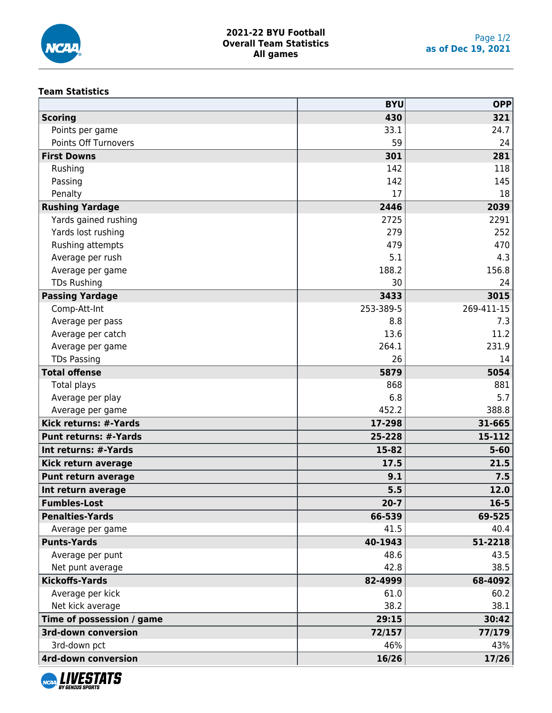

### **Team Statistics**

|                              | <b>BYU</b> | <b>OPP</b> |
|------------------------------|------------|------------|
| <b>Scoring</b>               | 430        | 321        |
| Points per game              | 33.1       | 24.7       |
| Points Off Turnovers         | 59         | 24         |
| <b>First Downs</b>           | 301        | 281        |
| Rushing                      | 142        | 118        |
| Passing                      | 142        | 145        |
| Penalty                      | 17         | 18         |
| <b>Rushing Yardage</b>       | 2446       | 2039       |
| Yards gained rushing         | 2725       | 2291       |
| Yards lost rushing           | 279        | 252        |
| Rushing attempts             | 479        | 470        |
| Average per rush             | 5.1        | 4.3        |
| Average per game             | 188.2      | 156.8      |
| <b>TDs Rushing</b>           | 30         | 24         |
| <b>Passing Yardage</b>       | 3433       | 3015       |
| Comp-Att-Int                 | 253-389-5  | 269-411-15 |
| Average per pass             | 8.8        | 7.3        |
| Average per catch            | 13.6       | 11.2       |
| Average per game             | 264.1      | 231.9      |
| <b>TDs Passing</b>           | 26         | 14         |
| <b>Total offense</b>         | 5879       | 5054       |
| Total plays                  | 868        | 881        |
| Average per play             | 6.8        | 5.7        |
| Average per game             | 452.2      | 388.8      |
| Kick returns: #-Yards        | 17-298     | 31-665     |
| <b>Punt returns: #-Yards</b> | 25-228     | 15-112     |
| Int returns: #-Yards         | 15-82      | $5 - 60$   |
| Kick return average          | 17.5       | 21.5       |
| <b>Punt return average</b>   | 9.1        | 7.5        |
| Int return average           | 5.5        | 12.0       |
| <b>Fumbles-Lost</b>          | $20 - 7$   | $16 - 5$   |
| <b>Penalties-Yards</b>       | 66-539     | 69-525     |
| Average per game             | 41.5       | 40.4       |
| <b>Punts-Yards</b>           | 40-1943    | 51-2218    |
| Average per punt             | 48.6       | 43.5       |
| Net punt average             | 42.8       | 38.5       |
| <b>Kickoffs-Yards</b>        | 82-4999    | 68-4092    |
| Average per kick             | 61.0       | 60.2       |
| Net kick average             | 38.2       | 38.1       |
| Time of possession / game    | 29:15      | 30:42      |
| <b>3rd-down conversion</b>   | 72/157     | 77/179     |
| 3rd-down pct                 | 46%        | 43%        |
| <b>4rd-down conversion</b>   | 16/26      | 17/26      |

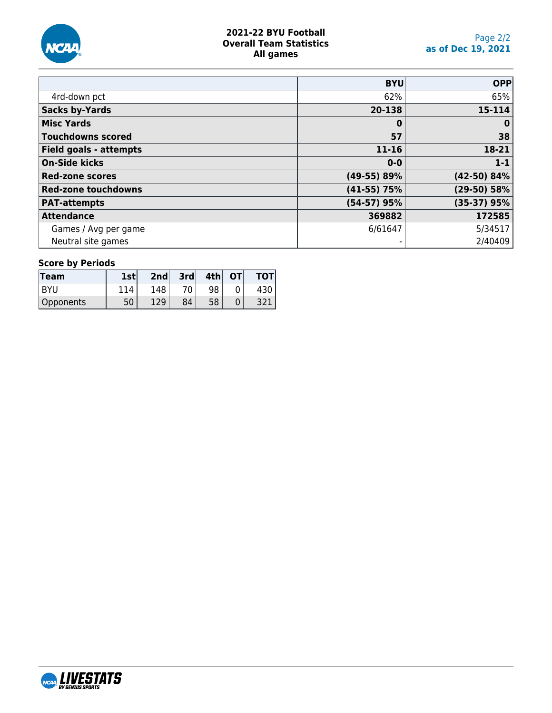

# **2021-22 BYU Football Overall Team Statistics All games**

|                            | <b>BYU</b>    | <b>OPP</b>    |
|----------------------------|---------------|---------------|
| 4rd-down pct               | 62%           | 65%           |
| <b>Sacks by-Yards</b>      | 20-138        | 15-114        |
| <b>Misc Yards</b>          | 0             | $\bf{0}$      |
| <b>Touchdowns scored</b>   | 57            | 38            |
| Field goals - attempts     | $11 - 16$     | 18-21         |
| <b>On-Side kicks</b>       | $0 - 0$       | $1 - 1$       |
| <b>Red-zone scores</b>     | (49-55) 89%   | $(42-50)$ 84% |
| <b>Red-zone touchdowns</b> | $(41-55)$ 75% | (29-50) 58%   |
| <b>PAT-attempts</b>        | $(54-57)$ 95% | $(35-37)$ 95% |
| <b>Attendance</b>          | 369882        | 172585        |
| Games / Avg per game       | 6/61647       | 5/34517       |
| Neutral site games         |               | 2/40409       |

# **Score by Periods**

| Team      | <b>1stl</b> | 2nd | 3rd | 4th | OТ |  |
|-----------|-------------|-----|-----|-----|----|--|
| BYU       |             | 148 | 70  | 98  |    |  |
| Opponents | 50          | 12Q | 84  | 58  |    |  |

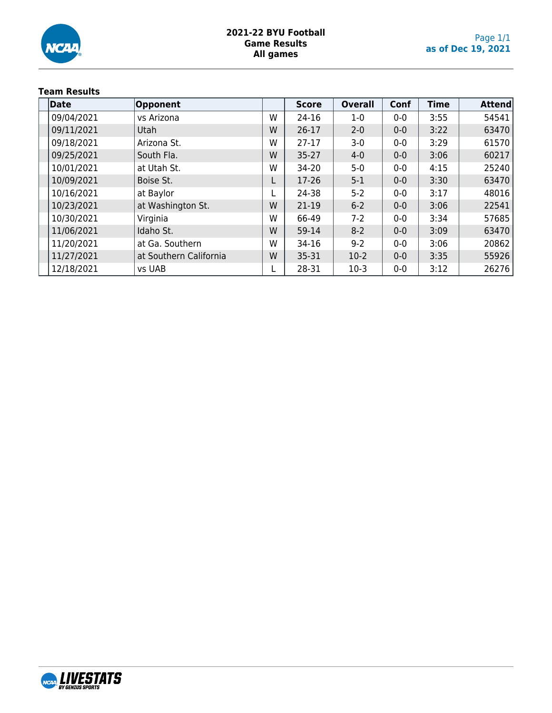

# **2021-22 BYU Football Game Results All games**

# **Team Results**

| Date       | <b>Opponent</b>        |   | <b>Score</b> | <b>Overall</b> | Conf  | <b>Time</b> | <b>Attend</b> |
|------------|------------------------|---|--------------|----------------|-------|-------------|---------------|
| 09/04/2021 | vs Arizona             | W | 24-16        | $1-0$          | $0-0$ | 3:55        | 54541         |
| 09/11/2021 | Utah                   | W | $26 - 17$    | $2 - 0$        | $0-0$ | 3:22        | 63470         |
| 09/18/2021 | Arizona St.            | W | $27-17$      | $3-0$          | $0-0$ | 3:29        | 61570         |
| 09/25/2021 | South Fla.             | W | $35 - 27$    | $4 - 0$        | $0-0$ | 3:06        | 60217         |
| 10/01/2021 | at Utah St.            | W | 34-20        | $5 - 0$        | $0-0$ | 4:15        | 25240         |
| 10/09/2021 | Boise St.              |   | 17-26        | $5 - 1$        | $0-0$ | 3:30        | 63470         |
| 10/16/2021 | at Baylor              |   | 24-38        | $5 - 2$        | $0-0$ | 3:17        | 48016         |
| 10/23/2021 | at Washington St.      | W | 21-19        | $6 - 2$        | $0-0$ | 3:06        | 22541         |
| 10/30/2021 | Virginia               | W | 66-49        | $7-2$          | $0-0$ | 3:34        | 57685         |
| 11/06/2021 | Idaho St.              | W | 59-14        | $8-2$          | $0-0$ | 3:09        | 63470         |
| 11/20/2021 | at Ga. Southern        | W | 34-16        | $9 - 2$        | $0-0$ | 3:06        | 20862         |
| 11/27/2021 | at Southern California | W | 35-31        | $10-2$         | $0-0$ | 3:35        | 55926         |
| 12/18/2021 | vs UAB                 |   | 28-31        | $10-3$         | $0-0$ | 3:12        | 26276         |

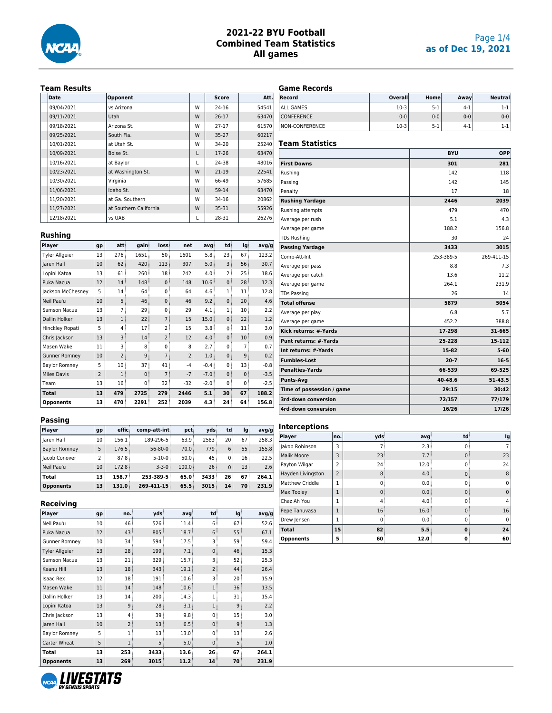

### Page 1/4 **as of Dec 19, 2021**

#### **Team Results**

| <b>Date</b> | Opponent               |   | Score     | Att.  |
|-------------|------------------------|---|-----------|-------|
| 09/04/2021  | ys Arizona             | w | $24 - 16$ | 54541 |
| 09/11/2021  | Utah                   | W | $26 - 17$ | 63470 |
| 09/18/2021  | Arizona St.            | W | $27 - 17$ | 61570 |
| 09/25/2021  | South Fla.             | W | $35 - 27$ | 60217 |
| 10/01/2021  | at Utah St.            | W | $34 - 20$ | 25240 |
| 10/09/2021  | Boise St.              | L | $17-26$   | 63470 |
| 10/16/2021  | at Baylor              | L | 24-38     | 48016 |
| 10/23/2021  | at Washington St.      | W | $21 - 19$ | 22541 |
| 10/30/2021  | Virginia               | w | 66-49     | 57685 |
| 11/06/2021  | Idaho St.              | W | 59-14     | 63470 |
| 11/20/2021  | at Ga. Southern        | W | 34-16     | 20862 |
| 11/27/2021  | at Southern California | W | $35 - 31$ | 55926 |
| 12/18/2021  | vs UAB                 |   | 28-31     | 26276 |

**Player gp att gain loss net avg td lg avg/g** Tyler Allgeier 13 276 1651 50 1601 5.8 23 67 123.2 Jaren Hall 10 62 420 113 307 5.0 3 56 30.7 Lopini Katoa | 13 | 61 | 260 | 18 | 242 | 4.0 | 2 | 25 | 18.6 Puka Nacua | 12 | 14 | 148 | 0 | 148 | 10.6 | 0 | 28 | 12.3 Jackson McChesney  $\begin{vmatrix} 5 & 14 & 64 & 0 & 64 & 4.6 & 1 & 11 & 12.8 \end{vmatrix}$ Neil Pau'u 10 5 46 0 46 9.2 0 20 4.6 Samson Nacua 13 7 29 0 29 4.1 1 10 2.2 Dallin Holker  $\begin{vmatrix} 13 & 1 & 22 \\ 1 & 2 & 7 \end{vmatrix}$  15  $\begin{vmatrix} 15.0 & 0 & 22 \\ 0 & 2 & 1.2 \end{vmatrix}$  1.2 Hinckley Ropati 5 4 17 2 15 3.8 0 11 3.0 Chris Jackson 13 3 14 2 12 4.0 0 10 0.9 Masen Wake  $|11|$  3 8 0 8 2.7 0 7 0.7 Gunner Romney  $|10|$  2 9 7 2 1.0 0 9 0.2 Baylor Romney  $\begin{vmatrix} 5 & 10 & 37 \\ 1 & 41 & -4 \end{vmatrix}$  -0.4 0 13 -0.8 Miles Davis 2 1 0 7 -7 -7.0 0 0 -3.5 Team 13 16 0 32 -32 -2.0 0 0 -2.5 **Total 13 479 2725 279 2446 5.1 30 67 188.2 Opponents 13 470 2291 252 2039 4.3 24 64 156.8**

### **Game Records**

| Record            | Overall | Home    | Away  | <b>Neutrall</b> |
|-------------------|---------|---------|-------|-----------------|
| ALL GAMES         | $10-3$  | $5-1$   | $4-1$ | 1-1             |
| <b>CONFERENCE</b> | $0 - 0$ | $0 - 0$ | $0-0$ | $0 - 0$         |
| NON-CONFERENCE    | $10-3$  | $5-1$   | $4-1$ | 1-1             |

#### **Team Statistics**

|                              | <b>BYU</b> | OPP        |
|------------------------------|------------|------------|
| <b>First Downs</b>           | 301        | 281        |
| Rushing                      | 142        | 118        |
| Passing                      | 142        | 145        |
| Penalty                      | 17         | 18         |
| <b>Rushing Yardage</b>       | 2446       | 2039       |
| Rushing attempts             | 479        | 470        |
| Average per rush             | 5.1        | 4.3        |
| Average per game             | 188.2      | 156.8      |
| <b>TDs Rushing</b>           | 30         | 24         |
| <b>Passing Yardage</b>       | 3433       | 3015       |
| Comp-Att-Int                 | 253-389-5  | 269-411-15 |
| Average per pass             | 8.8        | 7.3        |
| Average per catch            | 13.6       | 11.2       |
| Average per game             | 264.1      | 231.9      |
| <b>TDs Passing</b>           | 26         | 14         |
| <b>Total offense</b>         | 5879       | 5054       |
| Average per play             | 6.8        | 5.7        |
| Average per game             | 452.2      | 388.8      |
| Kick returns: #-Yards        | 17-298     | 31-665     |
| <b>Punt returns: #-Yards</b> | 25-228     | 15-112     |
| Int returns: #-Yards         | 15-82      | $5 - 60$   |
| <b>Fumbles-Lost</b>          | $20 - 7$   | $16 - 5$   |
| <b>Penalties-Yards</b>       | 66-539     | 69-525     |
| <b>Punts-Avg</b>             | 40-48.6    | 51-43.5    |
| Time of possession / game    | 29:15      | 30:42      |
| 3rd-down conversion          | 72/157     | 77/179     |
| 4rd-down conversion          | 16/26      | 17/26      |

#### **Passing**

**Rushing**

| Player               | gp              | effic       | comp-att-int  | pct            | vds             | td              | lq   | avq/q |
|----------------------|-----------------|-------------|---------------|----------------|-----------------|-----------------|------|-------|
| laren Hall           | 10 <sup>°</sup> | 156.1       | 189-296-5     | 63.9:          | 2583            | 20 <sup>3</sup> | 67:  | 258.3 |
| <b>Baylor Romney</b> | 5               | 176.5       | $56 - 80 - 0$ | 70.0           | 779             | 6               | 55:  | 155.8 |
| <b>Iacob Conover</b> | 2               | 87.8        | $5 - 10 - 0$  | 50.0           | 45              | $\Omega$        | 16:  | 22.5  |
| Neil Pau'u           | 10              | 172.8       | $3 - 3 - 0$   | 100.0          | 26 <sup>3</sup> | $\Omega$        | 13:  | 2.6   |
| Total                |                 | 158.7       | 253-389-5     | 65.0           | 3433            | 26              | 67   | 264.1 |
| <b>Opponents</b>     |                 | 13<br>131.0 | 269-411-15    | $65.5^{\circ}$ | 3015            | 14              | 70 i | 231.9 |

#### **Receiving**

| Player                | gp | no.            | vds  | avg           | td             | lg | avg/g |
|-----------------------|----|----------------|------|---------------|----------------|----|-------|
| Neil Pau'u            |    | 46             | 526  | 11.4          | 6              | 67 | 52.6  |
| Puka Nacua            | 12 | 43             | 805  | 18.7          | 6              | 55 | 67.1  |
| <b>Gunner Romney</b>  | 10 | 34             | 594  | 17.5          | 3              | 59 | 59.4  |
| <b>Tyler Allgeier</b> | 13 | 28             | 199  | 7.1           | $\mathbf{0}$   | 46 | 15.3  |
| Samson Nacua          | 13 | 21             | 329  | 15.7          | 3              | 52 | 25.3  |
| Keanu Hill            | 13 | 18             | 343  | 19.1          | $\overline{2}$ | 44 | 26.4  |
| <b>Isaac Rex</b>      | 12 | 18             | 191  | 10.6          | 3              | 20 | 15.9  |
| Masen Wake            | 11 | 14             | 148  | 10.6          | 1              | 36 | 13.5  |
| Dallin Holker         | 13 | 14             | 200  | 14.3          | 1              | 31 | 15.4  |
| Lopini Katoa          | 13 | 9              | 28   | 3.1           | 1              | 9  | 2.2   |
| Chris Jackson         | 13 | 4              | 39   | $9.8^{\circ}$ | 0              | 15 | 3.0   |
| Jaren Hall            | 10 | $\overline{2}$ | 13   | 6.5           | $\mathbf{0}$   | 9  | 1.3   |
| <b>Baylor Romney</b>  | 5  | 1              | 13   | 13.0          | 0              | 13 | 2.6   |
| Carter Wheat          | 5  | 1              | 5    | 5.0           | $\mathbf{0}$   | 5  | 1.0   |
| Total                 | 13 | 253            | 3433 | 13.6          | 26             | 67 | 264.1 |
| <b>Opponents</b>      |    | 269            | 3015 | 11.2          | 14             | 70 | 231.9 |

### **Interceptions**

| Player             | no.            | vds      | avg  | td          | lg          |
|--------------------|----------------|----------|------|-------------|-------------|
| Jakob Robinson     | 3              |          | 2.3  | $\Omega$    | 7           |
| <b>Malik Moore</b> | 3              | 23       | 7.7  | $\mathbf 0$ | 23          |
| Payton Wilgar      | $\overline{a}$ | 24       | 12.0 | $\Omega$    | 24          |
| Hayden Livingston  | $\overline{2}$ | 8        | 4.0  | $\mathbf 0$ | 8           |
| Matthew Criddle    |                | ŋ        | 0.0  | $\Omega$    | $\Omega$    |
| Max Tooley         |                | $\Omega$ | 0.0  | $\mathbf 0$ | $\mathbf 0$ |
| Chaz Ah You        |                | 4        | 4.0  | $\Omega$    | 4           |
| Pepe Tanuvasa      |                | 16       | 16.0 | $\Omega$    | 16          |
| Drew Jensen        |                | O        | 0.0  | $\Omega$    | $\Omega$    |
| <b>Total</b>       | 15             | 82       | 5.5  | $\bf{0}$    | 24          |
| <b>Opponents</b>   | 5              | 60       | 12.0 | 0           | 60          |

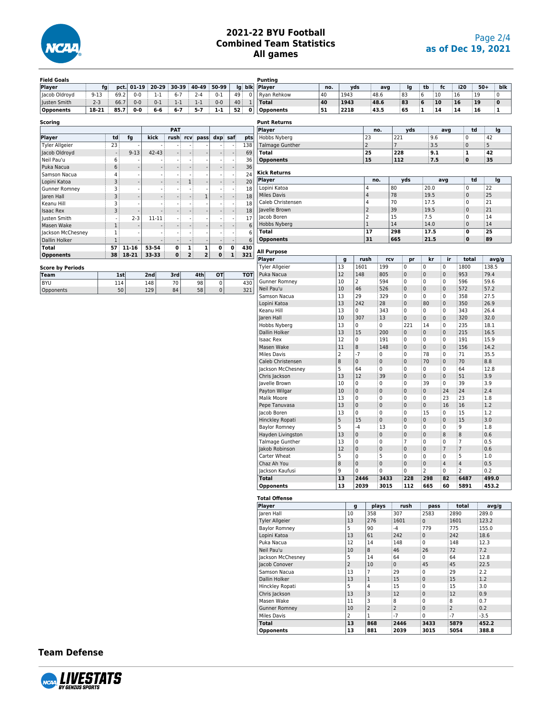

| <b>Field Goals</b>      |          |              |           |                          |                          |                                                      |                |                          |              | Punting                |     |                        |                |                |                     |                |                  |                |       |     |
|-------------------------|----------|--------------|-----------|--------------------------|--------------------------|------------------------------------------------------|----------------|--------------------------|--------------|------------------------|-----|------------------------|----------------|----------------|---------------------|----------------|------------------|----------------|-------|-----|
| Player                  | fg       | pct.         | $01 - 19$ | 20-29                    | 30-39                    | 40-49                                                | 50-99          | lg                       | blk          | Player                 | no. | yds                    | avg            |                | Ig                  | tb             | fc               | i20            | $50+$ | blk |
| Jacob Oldroyd           | $9 - 13$ | 69.2         | $0 - 0$   | $1 - 1$                  | $6 - 7$                  | $2 - 4$                                              | $0 - 1$        | 49                       | $\pmb{0}$    | Ryan Rehkow            | 40  | 1943                   | 48.6           |                | 83                  | 6<br>10        |                  | 16<br>19       | 0     |     |
| Justen Smith            | $2 - 3$  | 66.7         | $0-0$     | $0 - 1$                  | $1 - 1$                  | $1 - 1$                                              | $0 - 0$        | 40                       | $\mathbf{1}$ | <b>Total</b>           | 40  | 1943                   | 48.6           |                | 83                  | 6<br>10        |                  | 16<br>19       | 0     |     |
| <b>Opponents</b>        | 18-21    | 85.7         | 0-0       | $6-6$                    | $6 - 7$                  | $5 - 7$                                              | $1 - 1$        | 52                       | 0            | <b>Opponents</b>       | 51  | 2218                   | 43.5           |                | 65                  | 14<br>1        |                  | 14<br>16       | 1     |     |
|                         |          |              |           |                          |                          |                                                      |                |                          |              |                        |     |                        |                |                |                     |                |                  |                |       |     |
| <b>Scoring</b>          |          |              |           |                          |                          |                                                      |                |                          |              | <b>Punt Returns</b>    |     |                        |                |                |                     |                |                  |                |       |     |
|                         |          |              |           |                          | <b>PAT</b>               |                                                      |                |                          |              | Player                 |     |                        | no.            |                | yds                 |                | avg              | td             | lg    |     |
| Player                  |          | td           | fg        | kick                     | rush                     | rcv<br>pass                                          | dxp saf        |                          | pts          | Hobbs Nyberg           |     |                        | 23             | 221            |                     | 9.6            |                  | $\pmb{0}$      | 42    |     |
| <b>Tyler Allgeier</b>   |          | 23           |           | $\sim$                   |                          | $\blacksquare$                                       | $\sim$         | $\sim$                   | 138          | <b>Talmage Gunther</b> |     |                        | $\overline{2}$ | $\overline{7}$ |                     | 3.5            |                  | $\mathbf{0}$   | 5     |     |
| Jacob Oldroyd           |          |              | $9 - 13$  | 42-43                    |                          |                                                      |                | $\overline{\phantom{a}}$ | 69           | Total                  |     |                        | 25             | 228            |                     | 9.1            |                  | $\mathbf 1$    | 42    |     |
| Neil Pau'u              |          | 6            |           |                          |                          |                                                      |                | $\overline{\phantom{a}}$ | 36           | <b>Opponents</b>       |     |                        | 15             | 112            |                     | 7.5            |                  | $\pmb{0}$      | 35    |     |
| Puka Nacua              |          | 6            |           |                          |                          | $\blacksquare$                                       |                | $\sim$                   | 36           |                        |     |                        |                |                |                     |                |                  |                |       |     |
| Samson Nacua            |          | 4            |           | ÷,                       |                          | $\blacksquare$                                       |                | $\sim$                   | 24           | Kick Returns           |     |                        |                |                |                     |                |                  |                |       |     |
| Lopini Katoa            |          | 3            |           |                          |                          | $\mathbf{1}$                                         |                | ÷                        | 20           | Player                 |     |                        | no.            |                | yds                 |                | avg              | td             | lg    |     |
| Gunner Romney           |          | 3            |           |                          |                          | $\overline{\phantom{a}}$                             |                | $\overline{\phantom{a}}$ | 18           | Lopini Katoa           |     |                        | 4              | 80             |                     | 20.0           |                  | 0              | 22    |     |
| Jaren Hall              |          | 3            |           | ł,                       |                          | $\mathbf 1$<br>l,                                    |                | $\overline{\phantom{a}}$ | 18           | <b>Miles Davis</b>     |     |                        | 4              | 78             |                     | 19.5           |                  | $\pmb{0}$      | 25    |     |
| Keanu Hill              |          | 3            |           | ÷,                       | $\overline{\phantom{a}}$ | $\tilde{\phantom{a}}$                                |                | $\overline{\phantom{a}}$ | 18           | Caleb Christensen      |     |                        | 4              | 70             |                     | 17.5           |                  | $\pmb{0}$      | 21    |     |
| <b>Isaac Rex</b>        |          | 3            |           |                          |                          |                                                      |                |                          | 18           | Javelle Brown          |     |                        | $\overline{2}$ | 39             |                     | 19.5           |                  | $\pmb{0}$      | 21    |     |
| Justen Smith            |          | $\sim$       | $2 - 3$   | 11-11                    | $\sim$                   | ä,                                                   |                | $\sim$                   | 17           | Jacob Boren            |     |                        | 2              | 15             |                     | 7.5            |                  | 0              | 14    |     |
| Masen Wake              |          | $\,1$        |           |                          |                          |                                                      |                |                          | 6            | Hobbs Nyberg           |     |                        | $\mathbf{1}$   | 14             |                     | 14.0           |                  | $\pmb{0}$      | 14    |     |
| Jackson McChesney       |          | $\mathbf{1}$ |           | ÷,                       | $\sim$                   | ä,                                                   |                | $\sim$                   | 6            | <b>Total</b>           |     |                        | 17             | 298            |                     | 17.5           |                  | 0              | 25    |     |
| Dallin Holker           |          | $\,1$        |           | $\overline{\phantom{a}}$ | $\overline{\phantom{a}}$ | $\overline{\phantom{a}}$<br>$\overline{\phantom{a}}$ |                | $\sim$                   | 6            | <b>Opponents</b>       |     |                        | 31             | 665            |                     | 21.5           |                  | $\bf{0}$       | 89    |     |
| <b>Total</b>            |          | 57           | $11 - 16$ | 53-54                    | 0                        | $\mathbf{1}$<br>$\mathbf 1$                          | 0              | $\mathbf{0}$             | 430          |                        |     |                        |                |                |                     |                |                  |                |       |     |
| <b>Opponents</b>        |          | 38           | 18-21     | 33-33                    | 0                        | $\overline{2}$<br>$\overline{\mathbf{c}}$            | 0              | ${\bf 1}$                | 321          | All Purpose            |     |                        |                |                |                     |                |                  |                |       |     |
|                         |          |              |           |                          |                          |                                                      |                |                          |              | <b>Player</b>          |     | g                      | rush           | rcv            | pr                  | kr             | ir               | total          | avg/g |     |
| <b>Score by Periods</b> |          |              |           |                          |                          |                                                      |                |                          |              | <b>Tyler Allgeier</b>  |     | 13                     | 1601<br>199    |                | $\pmb{0}$           | 0              | 0                | 1800           | 138.5 |     |
| <b>Team</b>             |          | 1st          |           | 2nd                      | 3rd                      | 4th                                                  | OT             |                          | <b>TOT</b>   | Puka Nacua             |     | 12                     | 148<br>805     |                | $\pmb{0}$           | 0              | 0                | 953            | 79.4  |     |
| <b>BYU</b>              |          | 114          |           | 148                      | 70                       | 98                                                   | 0              |                          | 430          | Gunner Romney          |     | 10<br>2                | 594            |                | 0                   | 0              | 0                | 596            | 59.6  |     |
| Opponents               |          | 50           |           | 129                      | 84                       | 58                                                   | $\overline{0}$ |                          | 321          | Neil Pau'u             |     | $10\,$<br>46           | 526            |                | $\pmb{0}$           | 0              | 0                | 572            | 57.2  |     |
|                         |          |              |           |                          |                          |                                                      |                |                          |              | Samson Nacua           |     | 13<br>29               | 329            |                | $\mathbf 0$         | 0              | 0                | 358            | 27.5  |     |
|                         |          |              |           |                          |                          |                                                      |                |                          |              | Lopini Katoa           |     | 13<br>242              | 28             |                | $\mathsf 0$         | 80             | 0                | 350            | 26.9  |     |
|                         |          |              |           |                          |                          |                                                      |                |                          |              | Keanu Hill             |     | 13<br>0                | 343            |                | $\mathbf 0$         | 0              | 0                | 343            | 26.4  |     |
|                         |          |              |           |                          |                          |                                                      |                |                          |              | Jaren Hall             |     | $10$<br>307            | 13             |                | $\mathsf 0$         | $\pmb{0}$      | 0                | 320            | 32.0  |     |
|                         |          |              |           |                          |                          |                                                      |                |                          |              | Hobbs Nyberg           |     | 13<br>0                | 0              |                | 221                 | 14             | 0                | 235            | 18.1  |     |
|                         |          |              |           |                          |                          |                                                      |                |                          |              | Dallin Holker          |     | 13<br>15               | 200            |                | $\mathsf{O}\xspace$ | 0              | $\pmb{0}$        | 215            | 16.5  |     |
|                         |          |              |           |                          |                          |                                                      |                |                          |              | Isaac Rex              |     | 12<br>0                | 191            |                | 0                   | 0              | 0                | 191            | 15.9  |     |
|                         |          |              |           |                          |                          |                                                      |                |                          |              | Masen Wake             |     | 11<br>8                | 148            |                | 0                   | 0              | 0                | 156            | 14.2  |     |
|                         |          |              |           |                          |                          |                                                      |                |                          |              | <b>Miles Davis</b>     |     | $\overline{2}$<br>$-7$ | 0              |                | 0                   | 78             | 0                | 71             | 35.5  |     |
|                         |          |              |           |                          |                          |                                                      |                |                          |              | Caleb Christensen      |     | 8<br>$\pmb{0}$         | $\pmb{0}$      |                | $\mathsf{O}\xspace$ | 70             | 0                | 70             | 8.8   |     |
|                         |          |              |           |                          |                          |                                                      |                |                          |              | Jackson McChesney      |     | 5<br>64                | 0              |                | $\mathbf 0$         | 0              | 0                | 64             | 12.8  |     |
|                         |          |              |           |                          |                          |                                                      |                |                          |              | Chris Jackson          |     | 13<br>12               | 39             |                | $\pmb{0}$           | $\pmb{0}$      | 0                | 51             | 3.9   |     |
|                         |          |              |           |                          |                          |                                                      |                |                          |              | Javelle Brown          |     | 10<br>$\mathbf 0$      | 0              |                | $\mathbf 0$         | 39             | 0                | 39             | 3.9   |     |
|                         |          |              |           |                          |                          |                                                      |                |                          |              | Payton Wilgar          |     | 10<br>$\mathbf{0}$     | $\pmb{0}$      |                | 0                   | 0              | 24               | 24             | 2.4   |     |
|                         |          |              |           |                          |                          |                                                      |                |                          |              | Malik Moore            |     | 13<br>0                | 0              |                | 0                   | 0              | 23               | 23             | 1.8   |     |
|                         |          |              |           |                          |                          |                                                      |                |                          |              | Pepe Tanuvasa          |     | 13<br>$\pmb{0}$        | $\pmb{0}$      |                | $\pmb{0}$           | 0              | 16               | 16             | 1.2   |     |
|                         |          |              |           |                          |                          |                                                      |                |                          |              | Jacob Boren            |     | 13<br>$\Omega$         | 0              |                | $\mathbf 0$         | 15             | 0                | 15             | 1.2   |     |
|                         |          |              |           |                          |                          |                                                      |                |                          |              | Hinckley Ropati        |     | 5<br>15                | $\pmb{0}$      |                | $\mathsf{O}\xspace$ | 0              | $\pmb{0}$        | 15             | 3.0   |     |
|                         |          |              |           |                          |                          |                                                      |                |                          |              | <b>Baylor Romney</b>   |     | 5<br>-4                | 13             |                | 0                   | 0              | 0                | 9              | 1.8   |     |
|                         |          |              |           |                          |                          |                                                      |                |                          |              | Hayden Livingston      |     | 13<br>$\pmb{0}$        | $\pmb{0}$      |                | $\pmb{0}$           | 0              | 8                | 8              | 0.6   |     |
|                         |          |              |           |                          |                          |                                                      |                |                          |              | Talmage Gunther        |     | 13<br>$\mathbf 0$      | 0              |                | $\overline{7}$      | 0              | 0                | $\overline{7}$ | 0.5   |     |
|                         |          |              |           |                          |                          |                                                      |                |                          |              | Jakob Robinson         |     | 12<br>$\mathbf{0}$     | $\pmb{0}$      |                | $\pmb{0}$           | 0              | $\boldsymbol{7}$ | $\overline{7}$ | 0.6   |     |
|                         |          |              |           |                          |                          |                                                      |                |                          |              | Carter Wheat           |     | 5<br>$\mathbf 0$       | 5              |                | $\mathbf 0$         | 0              | 0                | 5              | 1.0   |     |
|                         |          |              |           |                          |                          |                                                      |                |                          |              | Chaz Ah You            |     | 8<br>$\pmb{0}$         | $\pmb{0}$      |                | $\mathsf{O}\xspace$ | 0              | 4                | $\sqrt{4}$     | 0.5   |     |
|                         |          |              |           |                          |                          |                                                      |                |                          |              | Jackson Kaufusi        |     | 9<br>$\mathbf 0$       | 0              |                | 0                   | $\overline{2}$ | 0                | 2              | 0.2   |     |
|                         |          |              |           |                          |                          |                                                      |                |                          |              | <b>Total</b>           |     | 13                     | 2446<br>3433   |                | 228                 | 298            | 82               | 6487           | 499.0 |     |
|                         |          |              |           |                          |                          |                                                      |                |                          |              | <b>Opponents</b>       |     | 13                     | 2039<br>3015   |                | 112                 | 665            | 60               | 5891           | 453.2 |     |
|                         |          |              |           |                          |                          |                                                      |                |                          |              |                        |     |                        |                |                |                     |                |                  |                |       |     |
|                         |          |              |           |                          |                          |                                                      |                |                          |              | <b>Total Offense</b>   |     |                        |                |                |                     |                |                  |                |       |     |
|                         |          |              |           |                          |                          |                                                      |                |                          |              | Player                 |     | $\boldsymbol{g}$       | plays          |                | rush                | pass           |                  | total          | avg/g |     |
|                         |          |              |           |                          |                          |                                                      |                |                          |              | Jaren Hall             |     | 10                     | 358            | 307            |                     | 2583           |                  | 2890           | 289.0 |     |
|                         |          |              |           |                          |                          |                                                      |                |                          |              | Tyler Allgeier         |     | 13                     | 276            | 1601           |                     | $\mathbf 0$    |                  | 1601           | 123.2 |     |
|                         |          |              |           |                          |                          |                                                      |                |                          |              | <b>Baylor Romney</b>   |     | 5                      | 90             | $-4$           |                     | 779            | 775              |                | 155.0 |     |
|                         |          |              |           |                          |                          |                                                      |                |                          |              | Lopini Katoa           |     | 13                     | 61             | 242            |                     | $\overline{0}$ | 242              |                | 18.6  |     |
|                         |          |              |           |                          |                          |                                                      |                |                          |              | Puka Nacua             |     | 12                     | $14\,$         | 148            |                     | $\mathbf 0$    | 148              |                | 12.3  |     |
|                         |          |              |           |                          |                          |                                                      |                |                          |              | Neil Pau'u             |     | 10                     | 8              | 46             |                     | 26             | 72               |                | 7.2   |     |

Chris Jackson

Jackson McChesney 5 14 64 0 64 12.8 Jacob Conover 2 10 0 45 45 22.5 Samson Nacua 13 7 29 0 29 2.2<br>Dallin Holker 13 13 1 15 0 15 1.2 0allin Holker 13 1 15 0 15 1.2<br>
Hinckley Ropati 5 4 15 0 15 3.0<br>
Chris Jackson 13 3 12 0 12 0.9 Hinckley Ropati **5** 15 15 0 15 3.0<br>
Chris Jackson 13 3 12 0 12 0.9

Masen Wake  $\begin{array}{|c|c|c|c|c|}\n11 & 3 & 8 & 0 & 8 & 0.7 \\
\hline\n\text{Gunner Romney} & & & 10 & 2 & 2 & 0 & 2 & 0.2\n\end{array}$ Gunner Romney 10 2 2 0 2 0.2<br>Miles Davis 2 1 -7 0 -7 -3.5 Miles Davis 2 1 -7 0 -7 -3.5<br> **13 868 2446 3433 5879 452.2 Total 13 868 2446 3433 5879 452.2 Opponents 13 881 2039 3015 5054 388.8**

**Team Defense**

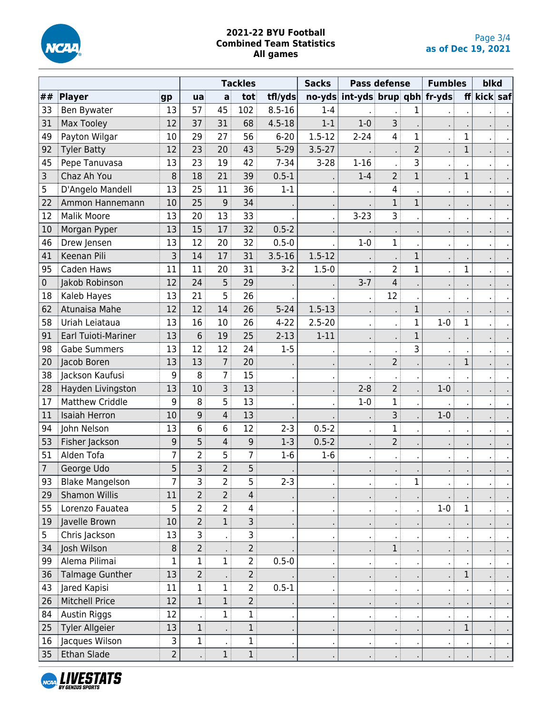

|    |                            |                |                        | <b>Tackles</b> |                   | <b>Sacks</b> | <b>Pass defense</b> |                         | <b>Fumbles</b> |                | blkd           |              |          |        |
|----|----------------------------|----------------|------------------------|----------------|-------------------|--------------|---------------------|-------------------------|----------------|----------------|----------------|--------------|----------|--------|
| ## | <b>Player</b>              | gp             | $\mathsf{u}\mathsf{a}$ | a              | tot               | tfl/yds      | $no-yds$            | int-yds brup qbh fr-yds |                |                |                | ff           | kick saf |        |
| 33 | Ben Bywater                | 13             | 57                     | 45             | 102               | $8.5 - 16$   | $1 - 4$             |                         |                | 1              |                |              |          |        |
| 31 | <b>Max Tooley</b>          | 12             | 37                     | 31             | 68                | $4.5 - 18$   | $1 - 1$             | $1 - 0$                 | 3              |                |                |              |          |        |
| 49 | Payton Wilgar              | 10             | 29                     | 27             | 56                | $6 - 20$     | $1.5 - 12$          | $2 - 24$                | 4              | 1              |                | 1            |          |        |
| 92 | <b>Tyler Batty</b>         | 12             | 23                     | 20             | 43                | $5 - 29$     | $3.5 - 27$          |                         |                | $\overline{2}$ |                | $\mathbf 1$  |          |        |
| 45 | Pepe Tanuvasa              | 13             | 23                     | 19             | 42                | $7 - 34$     | $3 - 28$            | $1 - 16$                |                | 3              |                |              |          |        |
| 3  | Chaz Ah You                | 8              | 18                     | 21             | 39                | $0.5 - 1$    |                     | $1 - 4$                 | $\overline{2}$ | $\mathbf 1$    |                | $\mathbf 1$  |          |        |
| 5  | D'Angelo Mandell           | 13             | 25                     | 11             | 36                | $1 - 1$      |                     |                         | 4              |                |                |              |          |        |
| 22 | Ammon Hannemann            | 10             | 25                     | 9              | 34                |              |                     |                         | 1              | $\mathbf{1}$   |                |              |          |        |
| 12 | <b>Malik Moore</b>         | 13             | 20                     | 13             | 33                |              |                     | $3 - 23$                | 3 <sup>1</sup> |                |                |              |          |        |
| 10 | Morgan Pyper               | 13             | 15                     | 17             | 32                | $0.5 - 2$    |                     |                         |                |                |                |              |          |        |
| 46 | Drew Jensen                | 13             | 12                     | 20             | 32                | $0.5 - 0$    |                     | $1-0$                   | $\mathbf 1$    |                | $\blacksquare$ |              |          |        |
| 41 | Keenan Pili                | 3              | 14                     | 17             | 31                | $3.5 - 16$   | $1.5 - 12$          |                         |                | 1              |                |              |          |        |
| 95 | Caden Haws                 | 11             | 11                     | 20             | 31                | $3-2$        | $1.5 - 0$           |                         | $\overline{2}$ | $\mathbf 1$    |                | 1            |          |        |
| 0  | Jakob Robinson             | 12             | 24                     | 5              | 29                |              |                     | $3 - 7$                 | 4              |                |                |              |          |        |
| 18 | Kaleb Hayes                | 13             | 21                     | 5              | 26                |              |                     |                         | 12             |                |                |              |          |        |
| 62 | Atunaisa Mahe              | 12             | 12                     | 14             | 26                | $5 - 24$     | $1.5 - 13$          |                         |                | $\mathbf 1$    |                |              |          |        |
| 58 | Uriah Leiataua             | 13             | 16                     | 10             | 26                | $4 - 22$     | $2.5 - 20$          |                         |                | $\mathbf 1$    | $1-0$          | $\mathbf 1$  |          |        |
| 91 | <b>Earl Tuioti-Mariner</b> | 13             | 6                      | 19             | 25                | $2 - 13$     | $1 - 11$            |                         |                | $\mathbf 1$    |                |              |          |        |
| 98 | <b>Gabe Summers</b>        | 13             | 12                     | 12             | 24                | $1 - 5$      |                     | $\blacksquare$          |                | 3              |                |              |          |        |
| 20 | Jacob Boren                | 13             | 13                     | $\overline{7}$ | 20                |              |                     |                         | 2 <sup>1</sup> |                |                | $\mathbf 1$  |          |        |
| 38 | Jackson Kaufusi            | 9              | 8                      | 7              | 15                |              |                     |                         |                |                |                |              |          |        |
| 28 | Hayden Livingston          | 13             | 10                     | 3              | 13                |              |                     | $2 - 8$                 | 2 <sup>1</sup> |                | $1-0$          |              |          |        |
| 17 | <b>Matthew Criddle</b>     | 9              | 8                      | 5              | 13                |              |                     | $1 - 0$                 | 1              |                |                |              |          |        |
| 11 | <b>Isaiah Herron</b>       | 10             | 9                      | 4              | 13                |              |                     |                         | 3              |                | $1 - 0$        |              |          |        |
| 94 | John Nelson                | 13             | 6                      | 6              | 12                | $2 - 3$      | $0.5 - 2$           | $\mathbf{r}$ .          | 1              |                |                |              |          |        |
| 53 | Fisher Jackson             | 9              | 5                      | 4              | 9                 | $1-3$        | $0.5 - 2$           | $\bullet$ $\bullet$     | $\overline{2}$ |                |                |              |          |        |
| 51 | Alden Tofa                 | 7              | $\overline{2}$         | 5              | $\overline{7}$    | $1-6$        | $1-6$               |                         |                |                |                |              |          |        |
| 7  | George Udo                 | 5              | 3                      | $\overline{2}$ | 5                 |              |                     |                         |                |                |                |              |          |        |
| 93 | <b>Blake Mangelson</b>     | I              | 3                      | 2              | 5                 | $2 - 3$      |                     | $\bullet$               |                | 1              |                |              |          | $\sim$ |
| 29 | <b>Shamon Willis</b>       | 11             | $\overline{2}$         | $\overline{2}$ | $\overline{4}$    |              |                     | $\blacksquare$          |                |                |                |              |          |        |
| 55 | Lorenzo Fauatea            | 5              | 2                      | $\overline{2}$ | 4                 |              |                     | $\mathbf{r}$            |                |                | $1-0$          | 1            |          |        |
| 19 | Javelle Brown              | 10             | $\overline{2}$         | 1 <sup>3</sup> | $\overline{3}$    |              |                     | $\blacksquare$          |                |                |                |              |          |        |
| 5  | Chris Jackson              | 13             | $\overline{3}$         |                | $\overline{3}$    |              |                     | ×.                      |                |                |                |              |          |        |
| 34 | Josh Wilson                | 8              | $\overline{2}$         |                | $2^{\frac{1}{2}}$ |              |                     | ×.                      | 1              |                |                |              |          |        |
| 99 | Alema Pilimai              | 1              | $\mathbf{1}$           | $\mathbf{1}$   | $\overline{2}$    | $0.5 - 0$    | $\blacksquare$      | $\sim$                  | тł             |                |                |              |          |        |
| 36 | <b>Talmage Gunther</b>     | 13             | 2 <sup>1</sup>         |                | $\overline{2}$    |              |                     | $\bullet$ .             |                |                |                | 1            |          |        |
| 43 | Jared Kapisi               | 11             | $\mathbf{1}$           | $\mathbf{1}$   | 2 <sup>1</sup>    | $0.5 - 1$    |                     | $\cdot$ :               | $\cdot$ :      |                |                |              |          |        |
| 26 | <b>Mitchell Price</b>      | 12             | 1                      | 1              | $\overline{2}$    |              |                     | л.                      |                |                |                |              |          |        |
| 84 | <b>Austin Riggs</b>        | 12             |                        | 1              | $\mathbf{1}$      |              | $\bullet$           | πŧ                      | $\cdot$ :      |                |                |              |          |        |
| 25 | Tyler Allgeier             | 13             | 1                      |                | $\mathbf{1}$      |              | $\blacksquare$      | ×.                      |                |                |                | $\mathbf{1}$ |          |        |
| 16 | Jacques Wilson             | 3              | $\mathbf{1}$           |                | $\mathbf{1}$      |              | $\cdot$             | $\mathbf{r}$            |                |                |                |              |          |        |
| 35 | Ethan Slade                | $\overline{c}$ |                        | 1              | 1                 |              |                     | н.                      |                |                |                |              |          |        |

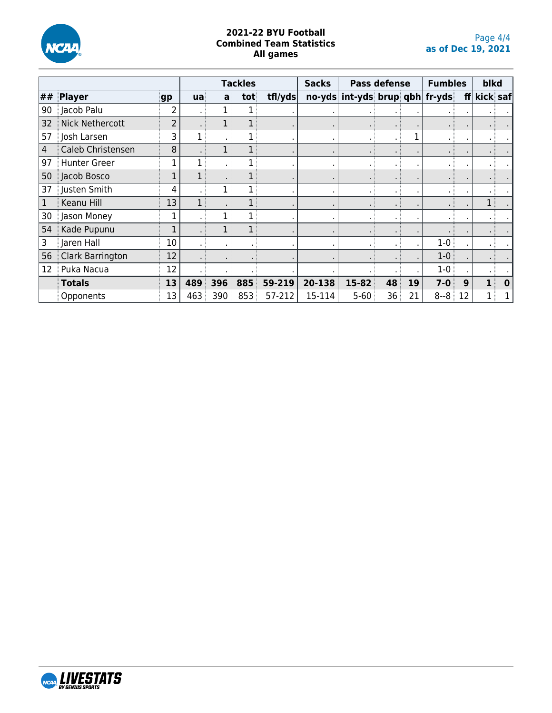

|                |                        |    |     | <b>Tackles</b> |     | <b>Sacks</b> |        | <b>Pass defense</b>                          |                | <b>Fumbles</b> | blkd    |    |             |           |
|----------------|------------------------|----|-----|----------------|-----|--------------|--------|----------------------------------------------|----------------|----------------|---------|----|-------------|-----------|
| ##             | Player                 | gp | ua  | a              | tot | trflyds      |        | $\frac{1}{2}$ no-yds int-yds brup qbh fr-yds |                |                |         |    | ff kick saf |           |
| 90             | Jacob Palu             | 2  |     |                |     |              |        |                                              | $\blacksquare$ |                |         |    |             | $\bullet$ |
| 32             | <b>Nick Nethercott</b> | 2  |     |                |     |              |        |                                              | $\blacksquare$ |                |         |    |             |           |
| 57             | Josh Larsen            | 3  |     |                |     |              |        |                                              | ٠.             |                |         |    |             |           |
| $\overline{4}$ | Caleb Christensen      | 8  |     |                |     |              |        |                                              | $\blacksquare$ |                |         |    |             |           |
| 97             | <b>Hunter Greer</b>    | 1  |     |                |     |              |        | $\mathbf{r}$                                 | $\blacksquare$ |                |         |    |             |           |
| 50             | Jacob Bosco            |    |     |                |     |              |        |                                              | $\blacksquare$ |                |         |    |             |           |
| 37             | Justen Smith           | 4  |     |                |     |              |        | $\blacksquare$                               | $\blacksquare$ |                |         |    |             |           |
| 1              | Keanu Hill             | 13 |     |                |     |              |        |                                              | $\blacksquare$ |                |         |    | 1           |           |
| 30             | Jason Money            |    |     |                |     |              |        |                                              | $\blacksquare$ |                |         |    |             |           |
| 54             | Kade Pupunu            |    |     |                |     |              |        |                                              | $\blacksquare$ |                |         |    |             |           |
| 3              | Jaren Hall             | 10 |     |                |     |              |        | $\blacksquare$                               | $\blacksquare$ |                | 1-0     |    |             |           |
| 56             | Clark Barrington       | 12 |     |                |     |              |        |                                              | $\blacksquare$ |                | $1-0$   |    |             |           |
| 12             | Puka Nacua             | 12 |     |                |     |              |        |                                              |                |                | $1-0$   |    |             |           |
|                | <b>Totals</b>          | 13 | 489 | 396            | 885 | 59-219       | 20-138 | 15-82                                        | 48             | 19             | $7 - 0$ | 9  |             | $\bf{0}$  |
|                | Opponents              | 13 | 463 | 390            | 853 | 57-212       | 15-114 | $5 - 60$                                     | 36             | 21             | $8 - 8$ | 12 |             |           |

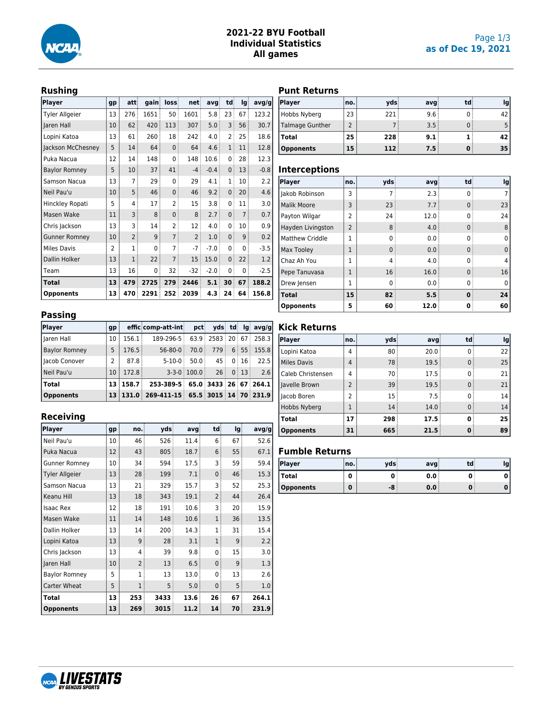

## **2021-22 BYU Football Individual Statistics All games**

# **Rushing**

| <b>Player</b>         | gp             | att            | gain | loss           | net            | avg    | td             | lg             | avg/g  |
|-----------------------|----------------|----------------|------|----------------|----------------|--------|----------------|----------------|--------|
| <b>Tyler Allgeier</b> | 13             | 276            | 1651 | 50             | 1601           | 5.8    | 23             | 67             | 123.2  |
| Jaren Hall            | 10             | 62             | 420  | 113            | 307            | 5.0    | 3              | 56             | 30.7   |
| Lopini Katoa          | 13             | 61             | 260  | 18             | 242            | 4.0    | 2              | 25             | 18.6   |
| Jackson McChesney     | 5              | 14             | 64   | $\Omega$       | 64             | 4.6    | $\mathbf{1}$   | 11             | 12.8   |
| Puka Nacua            | 12             | 14             | 148  | 0              | 148            | 10.6   | 0              | 28             | 12.3   |
| <b>Baylor Romney</b>  | 5              | 10             | 37   | 41             | $-4$           | $-0.4$ | 0              | 13             | $-0.8$ |
| Samson Nacua          | 13             | 7              | 29   | 0              | 29             | 4.1    | 1              | 10             | 2.2    |
| Neil Pau'u            | 10             | 5              | 46   | $\mathbf{0}$   | 46             | 9.2    | $\mathbf{0}$   | 20             | 4.6    |
| Hinckley Ropati       | 5              | 4              | 17   | 2              | 15             | 3.8    | 0              | 11             | 3.0    |
| Masen Wake            | 11             | 3              | 8    | 0              | 8              | 2.7    | 0              | $\overline{7}$ | 0.7    |
| Chris Jackson         | 13             | 3              | 14   | 2              | 12             | 4.0    | 0              | 10             | 0.9    |
| <b>Gunner Romney</b>  | 10             | $\overline{2}$ | 9    | $\overline{7}$ | $\overline{2}$ | 1.0    | $\overline{0}$ | 9              | 0.2    |
| <b>Miles Davis</b>    | $\overline{2}$ | 1              | 0    | 7              | $-7$           | $-7.0$ | 0              | 0              | $-3.5$ |
| Dallin Holker         | 13             | $\mathbf{1}$   | 22   | $\overline{7}$ | 15             | 15.0   | $\overline{0}$ | 22             | 1.2    |
| Team                  | 13             | 16             | 0    | 32             | $-32$          | $-2.0$ | 0              | 0              | $-2.5$ |
| Total                 | 13             | 479            | 2725 | 279            | 2446           | 5.1    | 30             | 67             | 188.2  |
| <b>Opponents</b>      | 13             | 470            | 2291 | 252            | 2039           | 4.3    | 24             | 64             | 156.8  |

# **Passing**

| Player               | gp |                 | efficicomp-att-inti                         | pct                   |    |          |       | ydsi tdi lgi avg/g    |
|----------------------|----|-----------------|---------------------------------------------|-----------------------|----|----------|-------|-----------------------|
| Haren Hall           | 10 | 156.1:          | 189-296-5                                   |                       |    |          |       | 63.9 2583 20 67 258.3 |
| <b>Baylor Romney</b> | 5  | 176.5           | $56 - 80 - 0$                               | 70.0                  |    |          |       | 779 6 55 155.8        |
| I Jacob Conover      | 2  | 87.8            | $5 - 10 - 0$                                | 50.0                  | 45 |          | 0:16: | 22.5                  |
| l Neil Pau'u         | 10 | 172.8           |                                             | $3 - 3 - 0$ : 100.0 : |    | 26:0:13: |       | 2.6                   |
| Total                | 13 | $158.7^{\circ}$ | 253-389-5 65.0 3433 26 67 264.1             |                       |    |          |       |                       |
| Opponents            |    |                 | $13 131.0 269-411-15 65.5 3015 14 70 231.9$ |                       |    |          |       |                       |

# **Receiving**

| Player                | gp | no.            | vds  | avg  | td             | lg | avg/g |
|-----------------------|----|----------------|------|------|----------------|----|-------|
| Neil Pau'u            | 10 | 46             | 526  | 11.4 | 6              | 67 | 52.6  |
| Puka Nacua            | 12 | 43             | 805  | 18.7 | 6              | 55 | 67.1  |
| <b>Gunner Romney</b>  | 10 | 34             | 594  | 17.5 | 3              | 59 | 59.4  |
| <b>Tyler Allgeier</b> | 13 | 28             | 199  | 7.1  | $\mathbf{0}$   | 46 | 15.3  |
| Samson Nacua          | 13 | 21             | 329  | 15.7 | 3              | 52 | 25.3  |
| Keanu Hill            | 13 | 18             | 343  | 19.1 | $\overline{2}$ | 44 | 26.4  |
| <b>Isaac Rex</b>      | 12 | 18             | 191  | 10.6 | 3              | 20 | 15.9  |
| Masen Wake            | 11 | 14             | 148  | 10.6 | $\mathbf{1}$   | 36 | 13.5  |
| Dallin Holker         | 13 | 14             | 200  | 14.3 | $\overline{1}$ | 31 | 15.4  |
| Lopini Katoa          | 13 | 9              | 28   | 3.1  | $\mathbf{1}$   | 9  | 2.2   |
| Chris Jackson         | 13 | 4              | 39   | 9.8  | 0              | 15 | 3.0   |
| Iaren Hall            | 10 | $\overline{2}$ | 13   | 6.5  | $\mathbf{0}$   | 9  | 1.3   |
| <b>Baylor Romney</b>  | 5  | 1              | 13   | 13.0 | 0              | 13 | 2.6   |
| Carter Wheat          | 5  | 1              | 5    | 5.0  | $\mathbf{0}$   | 5  | 1.0   |
| Total                 | 13 | 253            | 3433 | 13.6 | 26             | 67 | 264.1 |
| <b>Opponents</b>      | 13 | 269            | 3015 | 11.2 | 14             | 70 | 231.9 |

# **Punt Returns**

| Player                 | no.l | vds  | avg  | td: | Ig |
|------------------------|------|------|------|-----|----|
| Hobbs Nyberg           | 23   | 221: | 9.6: |     | 42 |
| <b>Talmage Gunther</b> |      |      | 3.5  |     |    |
| <b>Total</b>           | 25   | 228  | 9.1  |     | 42 |
| <b>Opponents</b>       | 15   | 112  | 7.5  |     | 35 |

#### **Interceptions**

| Player                 | no.            | vds      | avg  | td | <b>lg</b> |
|------------------------|----------------|----------|------|----|-----------|
| Jakob Robinson         | 3              |          | 2.3  |    |           |
| <b>Malik Moore</b>     | 3              | 23       | 7.7  |    | 23        |
| Payton Wilgar          | $\mathcal{P}$  | 24       | 12.0 |    | 24        |
| Hayden Livingston      | $\overline{2}$ | 8        | 4.0  |    | 8         |
| <b>Matthew Criddle</b> | 1              | 0        | 0.0  |    | 0         |
| Max Tooley             | 1              | $\Omega$ | 0.0  |    | 0         |
| Chaz Ah You            | 1              | 4        | 4.0  |    |           |
| Pepe Tanuvasa          | 1              | 16       | 16.0 |    | 16        |
| Drew Jensen            | 1              | 0        | 0.0  |    |           |
| <b>Total</b>           | 15             | 82       | 5.5  | n  | 24        |
| <b>Opponents</b>       | 5              | 60       | 12.0 |    | 60        |

# **Kick Returns**

| Player             | no.                      | vds | avg  | td | Ig |
|--------------------|--------------------------|-----|------|----|----|
| Lopini Katoa       | 4                        | 80  | 20.0 |    | 22 |
| <b>Miles Davis</b> | 4                        | 78  | 19.5 |    | 25 |
| Caleb Christensen  | 4                        | 70  | 17.5 |    | 21 |
| Javelle Brown      | $\overline{\phantom{0}}$ | 39  | 19.5 |    | 21 |
| Jacob Boren        | 2                        | 15  | 7.5  |    | 14 |
| Hobbs Nyberg       |                          | 14  | 14.0 |    | 14 |
| <b>Total</b>       | 17                       | 298 | 17.5 |    | 25 |
| <b>Opponents</b>   | 31                       | 665 | 21.5 |    | 89 |

### **Fumble Returns**

| <b>Player</b>    | no. | vds | avg | td |  |
|------------------|-----|-----|-----|----|--|
| Total            | u   |     | 0.0 |    |  |
| <b>Opponents</b> | 0   | -8  | 0.0 | w  |  |

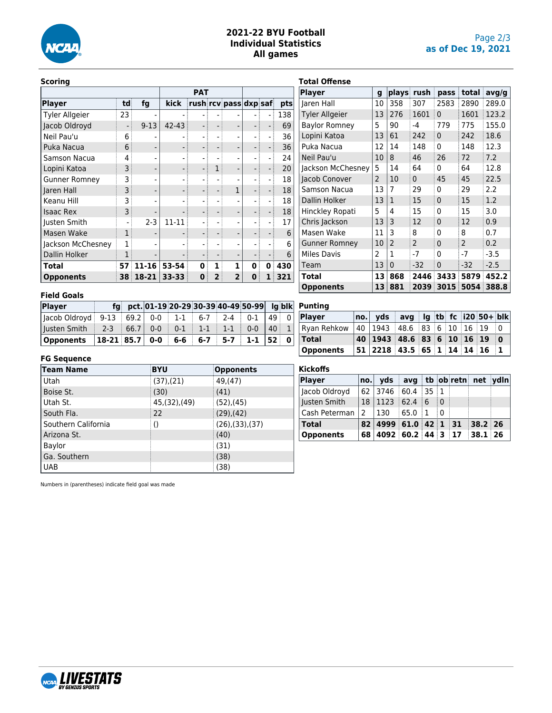

# **2021-22 BYU Football Individual Statistics All games**

**Punting**

**Kickoffs**

#### **Scoring**

|                       |    |          | <b>PAT</b> |   |   |                       |   |   |     |  |
|-----------------------|----|----------|------------|---|---|-----------------------|---|---|-----|--|
| <b>Player</b>         | td | fg       | kick       |   |   | rush rcv pass dxp saf |   |   | pts |  |
| <b>Tyler Allgeier</b> | 23 |          |            |   |   |                       |   |   | 138 |  |
| Jacob Oldroyd         |    | $9 - 13$ | $42 - 43$  |   |   |                       |   |   | 69  |  |
| Neil Pau'u            | 6  |          |            |   |   |                       |   |   | 36  |  |
| Puka Nacua            | 6  |          |            |   |   |                       |   |   | 36  |  |
| Samson Nacua          | 4  |          |            |   |   |                       |   |   | 24  |  |
| Lopini Katoa          | 3  |          |            |   |   |                       |   |   | 20  |  |
| <b>Gunner Romney</b>  | 3  |          |            |   |   |                       |   |   | 18  |  |
| Jaren Hall            | 3  |          |            |   |   | 1                     |   |   | 18  |  |
| Keanu Hill            | 3  |          |            |   |   |                       |   |   | 18  |  |
| <b>Isaac Rex</b>      | 3  |          |            |   |   |                       |   |   | 18  |  |
| Justen Smith          |    | $2 - 3$  | $11 - 11$  |   |   |                       |   |   | 17  |  |
| Masen Wake            | 1  |          |            |   |   |                       |   |   | 6   |  |
| Jackson McChesney     |    |          |            |   |   |                       |   |   | 6   |  |
| Dallin Holker         |    |          |            |   |   |                       |   |   | 6   |  |
| Total                 | 57 | 11-16    | 53-54      | ŋ | 1 | 1                     | 0 | 0 | 430 |  |
| <b>Opponents</b>      | 38 | 18-21    | $33 - 33$  | 0 |   | $\overline{2}$        | 0 |   | 321 |  |

| <b>Total Offense</b>  |                |                |               |              |       |        |
|-----------------------|----------------|----------------|---------------|--------------|-------|--------|
| <b>Player</b>         | g              | plays          | rush          | pass         | total | avg/g  |
| Jaren Hall            | 10             | 358            | 307           | 2583         | 2890  | 289.0  |
| <b>Tyler Allgeier</b> | 13             | 276            | 1601          | $\mathbf{0}$ | 1601  | 123.2  |
| <b>Baylor Romney</b>  | 5              | 90             | $-4$          | 779          | 775   | 155.0  |
| Lopini Katoa          | 13             | 61             | 242           | $\mathbf{0}$ | 242   | 18.6   |
| Puka Nacua            | 12             | 14             | 148           | 0            | 148   | 12.3   |
| Neil Pau'u            | 10             | 8              | 46            | 26           | 72    | 7.2    |
| Jackson McChesney     | 5              | 14             | 64            | 0            | 64    | 12.8   |
| Jacob Conover         | $\overline{2}$ | 10             | $\Omega$      | 45           | 45    | 22.5   |
| Samson Nacua          | 13             | 7              | 29            | 0            | 29    | 2.2    |
| Dallin Holker         | 13             | $\mathbf{1}$   | 15            | 0            | 15    | 1.2    |
| Hinckley Ropati       | 5              | 4              | 15            | 0            | 15    | 3.0    |
| Chris Jackson         | 13             | 3              | 12            | 0            | 12    | 0.9    |
| Masen Wake            | 11             | 3              | 8             | 0            | 8     | 0.7    |
| <b>Gunner Romney</b>  | 10             | $\overline{2}$ | $\mathcal{P}$ | 0            | 2     | 0.2    |
| <b>Miles Davis</b>    | 2              | 1              | $-7$          | 0            | $-7$  | $-3.5$ |
| Team                  | 13             | $\mathbf{0}$   | $-32$         | 0            | $-32$ | $-2.5$ |
| Total                 | 13             | 868            | 2446          | 3433         | 5879  | 452.2  |
| <b>Opponents</b>      | 13             | 881            | 2039          | 3015         | 5054  | 388.8  |

## **Field Goals**

| Player                                                             |  |  |  | fg pct. 01-19 20-29 30-39 40-49 50-99 Ig blk |    |  |
|--------------------------------------------------------------------|--|--|--|----------------------------------------------|----|--|
| Jacob Oldroyd   9-13   69.2   0-0   1-1   6-7   2-4   0-1   49   0 |  |  |  |                                              |    |  |
| usten Smith   2-3   66.7   0-0   0-1   1-1   1-1   0-0             |  |  |  |                                              | 40 |  |
| Opponents   18-21   85.7   0-0   6-6   6-7   5-7   1-1   52   0    |  |  |  |                                              |    |  |

# **FG Sequence**

| . <b>. </b>         |                  |                 |
|---------------------|------------------|-----------------|
| Team Name           | <b>BYU</b>       | Opponents       |
| Utah                | $(37)$ , $(21)$  | 49, (47)        |
| Boise St.           | (30)             | (41)            |
| Utah St.            | 45, (32), (49)   | (52),(45)       |
| South Fla.          | 22               | $(29)$ , $(42)$ |
| Southern California | $\left( \right)$ | (26),(33),(37)  |
| Arizona St.         |                  | (40)            |
| Baylor              |                  | (31)            |
| Ga. Southern        |                  | (38)            |
| <b>UAB</b>          |                  | (38)            |

| Player           | no.           | <b>yds</b>                                      |              |       | avg tb ob retn net ydln |  |
|------------------|---------------|-------------------------------------------------|--------------|-------|-------------------------|--|
| Iacob Oldroyd    |               | 62   3746   60.4   35   1                       |              |       |                         |  |
| Justen Smith     | 18            | $1123$ 62.4 6                                   |              | ∃ O   |                         |  |
| Cash Peterman    | $\mathcal{P}$ | $ 130\rangle$                                   | $65.0 \pm 1$ | . ∂ ∩ |                         |  |
| <b>Total</b>     |               | $82 \mid 4999 \mid 61.0 \mid 42 \mid 1 \mid 31$ |              |       | $38.2$ 26               |  |
| <b>Opponents</b> | 68            | 4092 60.2 44 3 17 38.1 26                       |              |       |                         |  |

**Player no. yds avg lg tb fc i20 50+ blk** Ryan Rehkow 40 1943 48.6 83 6 10 16 19 0 **Total 40 1943 48.6 83 6 10 16 19 0 Opponents 51 2218 43.5 65 1 14 14 16 1**

Numbers in (parentheses) indicate field goal was made

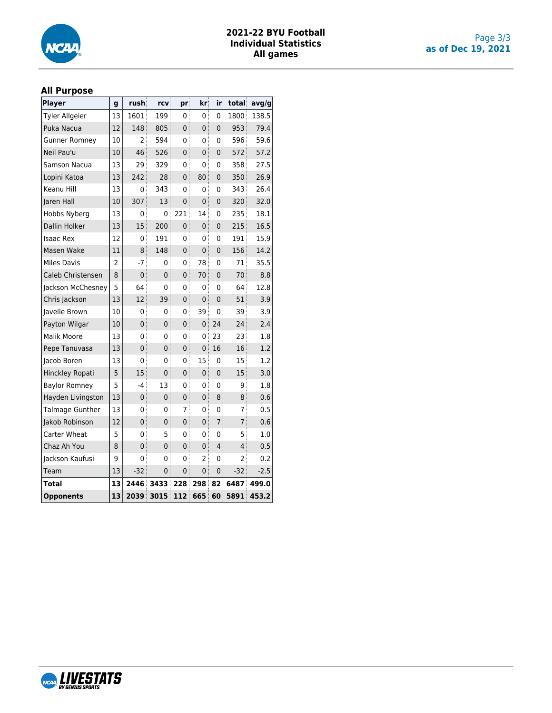

# **2021-22 BYU Football Individual Statistics All games**

### **All Purpose**

| <b>Player</b>          | g  | rush            | rcv            | pr             | kr             | iri            | total          | avg/g  |
|------------------------|----|-----------------|----------------|----------------|----------------|----------------|----------------|--------|
| <b>Tyler Allgeier</b>  | 13 | 1601            | 199            | 0              | 0              | 0              | 1800           | 138.5  |
| Puka Nacua             | 12 | 148             | 805            | 0              | 0              | 0              | 953            | 79.4   |
| <b>Gunner Romney</b>   | 10 | 2               | 594            | 0              | 0              | 0              | 596            | 59.6   |
| Neil Pau'u             | 10 | 46 <sup>3</sup> | 526            | $\mathbf 0$    | 0              | 0              | 572            | 57.2   |
| Samson Nacua           | 13 | 29              | 329            | 0              | 0              | 0              | 358            | 27.5   |
| Lopini Katoa           | 13 | 242             | 28             | $\overline{0}$ | 80             | 0              | 350            | 26.9   |
| Keanu Hill             | 13 | 0               | 343            | 0              | 0              | 0              | 343            | 26.4   |
| Jaren Hall             | 10 | 307             | 13             | $\overline{0}$ | $\overline{0}$ | 0              | 320            | 32.0   |
| Hobbs Nyberg           | 13 | 0               | 0              | 221            | 14             | 0              | 235            | 18.1   |
| Dallin Holker          | 13 | 15              | 200            | $\mathbf 0$    | 0 <sup>3</sup> | $\overline{0}$ | 215            | 16.5   |
| <b>Isaac Rex</b>       | 12 | 0               | 191            | 0              | 0              | 0              | 191            | 15.9   |
| Masen Wake             | 11 | 8               | 148            | $\mathbf 0$    | 0              | 0              | 156            | 14.2   |
| <b>Miles Davis</b>     | 2  | $-7$            | 0              | 0              | 78             | 0              | 71             | 35.5   |
| Caleb Christensen      | 8  | $\mathbf 0$     | $\overline{0}$ | $\mathbf 0$    | 70             | $\overline{0}$ | 70             | 8.8    |
| Jackson McChesney      | 5  | 64              | 0              | 0              | 0              | 0              | 64             | 12.8   |
| Chris Jackson          | 13 | 12              | 39             | $\mathbf 0$    | 0              | 0              | 51             | 3.9    |
| Javelle Brown          | 10 | 0               | 0              | 0              | 39             | 0              | 39             | 3.9    |
| Payton Wilgar          | 10 | $\mathbf 0$     | $\mathbf{0}$   | $\mathbf 0$    | 0:             | 24             | 24             | 2.4    |
| <b>Malik Moore</b>     | 13 | 0               | 0              | 0              | 0              | 23             | 23             | 1.8    |
| Pepe Tanuvasa          | 13 | $\mathbf 0$     | $\mathbf 0$    | 0              | 0              | 16             | 16             | 1.2    |
| Jacob Boren            | 13 | 0               | 0              | 0              | 15             | $\mathbf 0$    | 15             | 1.2    |
| Hinckley Ropati        | 5  | 15              | $\mathbf 0$    | $\mathbf 0$    | 0              | 0              | 15             | 3.0    |
| <b>Baylor Romney</b>   | 5  | $-4$            | 13             | 0              | 0              | 0              | 9              | 1.8    |
| Hayden Livingston      | 13 | $\mathbf 0$     | $\mathbf 0$    | 0              | $\mathbf 0$    | 8              | 8              | 0.6    |
| <b>Talmage Gunther</b> | 13 | 0               | 0              | 7              | 0              | 0              | 7              | 0.5    |
| Jakob Robinson         | 12 | $\overline{0}$  | 0              | $\mathbf 0$    | 0 <sup>3</sup> | $\overline{7}$ | $\overline{7}$ | 0.6    |
| Carter Wheat           | 5  | 0               | 5              | 0              | 0              | 0              | 5              | 1.0    |
| Chaz Ah You            | 8  | 0               | $\mathbf 0$    | $\mathbf 0$    | 0              | 4              | 4              | 0.5    |
| Jackson Kaufusi        | 9  | 0               | 0              | 0              | 2              | 0              | $\overline{2}$ | 0.2    |
| Team                   | 13 | $-32$           | 0              | 0              | 0 <sup>3</sup> | 0              | -32            | $-2.5$ |
| Total                  | 13 | 2446            | 3433           | 228            | 298            | 82             | 6487           | 499.0  |
| <b>Opponents</b>       | 13 | 2039            | 3015           | 112            | 665            | 60             | 5891           | 453.2  |

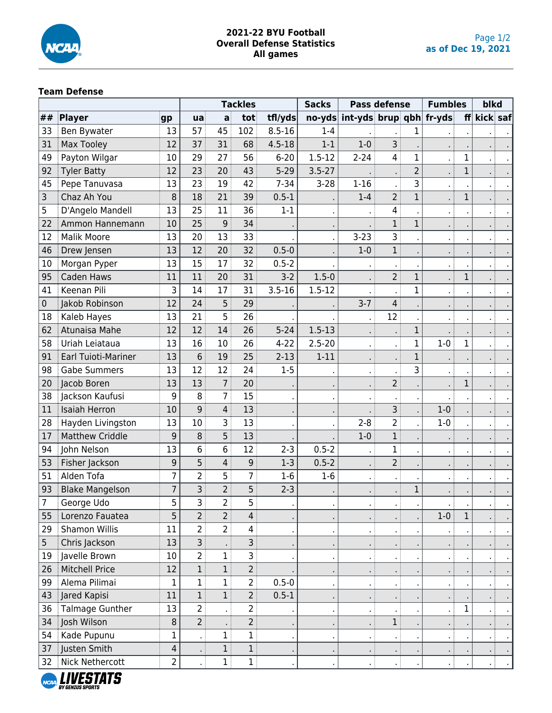

# **2021-22 BYU Football Overall Defense Statistics All games**

# **Team Defense**

|                |                            |                |                |                | <b>Tackles</b> |            | <b>Sacks</b>   |                                              | <b>Pass defense</b> |                | <b>Fumbles</b> |              | blkd     |  |
|----------------|----------------------------|----------------|----------------|----------------|----------------|------------|----------------|----------------------------------------------|---------------------|----------------|----------------|--------------|----------|--|
| ##             | Player                     | gp             | ua             | a              | tot            | tfl/yds    |                | $\frac{1}{2}$ no-yds int-yds brup qbh fr-yds |                     |                |                | f            | kick saf |  |
| 33             | Ben Bywater                | 13             | 57             | 45             | 102            | $8.5 - 16$ | $1 - 4$        |                                              |                     | 1              |                |              |          |  |
| 31             | <b>Max Tooley</b>          | 12             | 37             | 31             | 68             | $4.5 - 18$ | $1 - 1$        | $1-0$                                        | 3                   |                |                |              |          |  |
| 49             | Payton Wilgar              | 10             | 29             | 27             | 56             | $6 - 20$   | $1.5 - 12$     | $2 - 24$                                     | 4 <sup>1</sup>      | $\mathbf 1$    |                | $\mathbf 1$  |          |  |
| 92             | <b>Tyler Batty</b>         | 12             | 23             | 20             | 43             | $5 - 29$   | $3.5 - 27$     |                                              |                     | $\overline{2}$ |                | $\mathbf{1}$ |          |  |
| 45             | Pepe Tanuvasa              | 13             | 23             | 19             | 42             | $7 - 34$   | $3-28$         | $1 - 16$                                     |                     | 3              |                |              |          |  |
| 3              | Chaz Ah You                | 8              | 18             | 21             | 39             | $0.5 - 1$  |                | $1 - 4$                                      | 2 <sup>1</sup>      | $\mathbf{1}$   |                | $\mathbf{1}$ |          |  |
| 5              | D'Angelo Mandell           | 13             | 25             | 11             | 36             | $1 - 1$    |                |                                              | 4                   |                |                |              |          |  |
| 22             | Ammon Hannemann            | 10             | 25             | 9              | 34             |            |                |                                              | $\mathbf{1}$        | $\mathbf 1$    |                |              |          |  |
| 12             | <b>Malik Moore</b>         | 13             | 20             | 13             | 33             |            |                | $3 - 23$                                     | 3 <sup>1</sup>      |                |                |              |          |  |
| 46             | Drew Jensen                | 13             | 12             | 20             | 32             | $0.5 - 0$  |                | $1-0$                                        | 1                   |                |                |              |          |  |
| 10             | Morgan Pyper               | 13             | 15             | 17             | 32             | $0.5 - 2$  |                |                                              |                     |                |                |              |          |  |
| 95             | Caden Haws                 | 11             | 11             | 20             | 31             | $3-2$      | $1.5 - 0$      |                                              | 2 <sup>1</sup>      | $\mathbf{1}$   |                | $\mathbf{1}$ |          |  |
| 41             | Keenan Pili                | 3              | 14             | 17             | 31             | $3.5 - 16$ | $1.5 - 12$     |                                              | $\blacksquare$      | $\mathbf 1$    |                |              |          |  |
| $\pmb{0}$      | Jakob Robinson             | 12             | 24             | 5              | 29             |            |                | $3 - 7$                                      | 4                   |                |                |              |          |  |
| 18             | Kaleb Hayes                | 13             | 21             | 5              | 26             |            |                |                                              | 12                  |                |                |              |          |  |
| 62             | <b>Atunaisa Mahe</b>       | 12             | 12             | 14             | 26             | $5 - 24$   | $1.5 - 13$     |                                              |                     | $\mathbf 1$    |                |              |          |  |
| 58             | Uriah Leiataua             | 13             | 16             | 10             | 26             | $4 - 22$   | $2.5 - 20$     |                                              |                     | $\mathbf 1$    | $1-0$          | $\mathbf{1}$ |          |  |
| 91             | <b>Earl Tuioti-Mariner</b> | 13             | 6              | 19             | 25             | $2 - 13$   | $1 - 11$       |                                              |                     | $\mathbf 1$    |                |              |          |  |
| 98             | <b>Gabe Summers</b>        | 13             | 12             | 12             | 24             | $1 - 5$    |                |                                              |                     | 3              |                |              |          |  |
| 20             | Jacob Boren                | 13             | 13             | 7              | 20             |            |                |                                              | 2 <sup>1</sup>      |                |                | $\mathbf{1}$ |          |  |
| 38             | Jackson Kaufusi            | 9              | 8              | $\overline{7}$ | 15             |            | $\blacksquare$ | $\blacksquare$                               |                     |                |                |              |          |  |
| 11             | <b>Isaiah Herron</b>       | 10             | 9              | $\overline{4}$ | 13             |            |                |                                              | 3 <sup>1</sup>      |                | $1-0$          |              |          |  |
| 28             | Hayden Livingston          | 13             | 10             | 3              | 13             |            |                | $2 - 8$                                      | $\overline{2}$      |                | $1-0$          |              |          |  |
| 17             | <b>Matthew Criddle</b>     | 9              | 8              | 5              | 13             |            |                | $1 - 0$                                      | $1$ :               |                |                |              |          |  |
| 94             | John Nelson                | 13             | 6              | 6              | 12             | $2 - 3$    | $0.5 - 2$      |                                              | $\mathbf 1$         |                |                |              |          |  |
| 53             | Fisher Jackson             | 9              | 5              | 4              | 9              | $1-3$      | $0.5 - 2$      |                                              | 2 <sup>1</sup>      |                |                |              |          |  |
| 51             | Alden Tofa                 | $\overline{7}$ | $\overline{2}$ | 5              | $\overline{7}$ | $1-6$      | $1-6$          |                                              | τł                  |                |                |              |          |  |
| 93             | <b>Blake Mangelson</b>     | $\overline{7}$ | 3              | $\overline{2}$ | 5              | $2 - 3$    |                |                                              |                     | $\mathbf 1$    |                |              |          |  |
| $\overline{7}$ | George Udo                 | $\overline{5}$ | <b>S</b>       | $\overline{2}$ | 5              |            |                |                                              |                     |                |                |              |          |  |
| 55             | Lorenzo Fauatea            | 5              | $\overline{2}$ | 2 <sup>1</sup> | 4 <sup>1</sup> |            |                |                                              |                     |                | $1-0$          | $\mathbf{1}$ |          |  |
| 29             | Shamon Willis              | 11             | $\overline{2}$ | 2 <sup>3</sup> | 4              |            |                |                                              |                     |                |                |              |          |  |
| 5              | Chris Jackson              | 13             | 3              |                | 3              |            |                |                                              |                     |                |                |              |          |  |
| 19             | Javelle Brown              | 10             | $\overline{2}$ | $\mathbf{1}$   | $\overline{3}$ |            |                |                                              |                     |                |                |              |          |  |
| 26             | <b>Mitchell Price</b>      | 12             | $\mathbf{1}$   | 1              | $\overline{2}$ |            |                |                                              |                     |                |                |              |          |  |
| 99             | Alema Pilimai              | 1              | 1              | $\mathbf{1}$   | 2 <sup>1</sup> | $0.5 - 0$  |                |                                              |                     |                |                |              |          |  |
| 43             | Jared Kapisi               | 11             | $\mathbf{1}$   | 1 <sup>3</sup> | 2 <sup>1</sup> | $0.5 - 1$  |                |                                              |                     |                |                |              |          |  |
| 36             | Talmage Gunther            | 13             | $\overline{2}$ |                | 2              |            | $\blacksquare$ | $\blacksquare$                               | $\blacksquare$      |                |                | $\mathbf 1$  |          |  |
| 34             | Josh Wilson                | 8              | $\overline{2}$ |                | $\overline{2}$ |            |                |                                              | $1$ :               |                |                |              |          |  |
| 54             | Kade Pupunu                | $\mathbf{1}$   |                | $\mathbf{1}$   | 1              |            | $\blacksquare$ | л. (                                         | . :                 |                |                |              |          |  |
| 37             | Justen Smith               | 4              |                | 1              | 1              |            |                |                                              |                     |                |                |              |          |  |
|                | 32 Nick Nethercott         | $\overline{2}$ |                | 1              | 1              |            |                | ٠ŧ                                           |                     |                |                |              | ٠ŧ       |  |

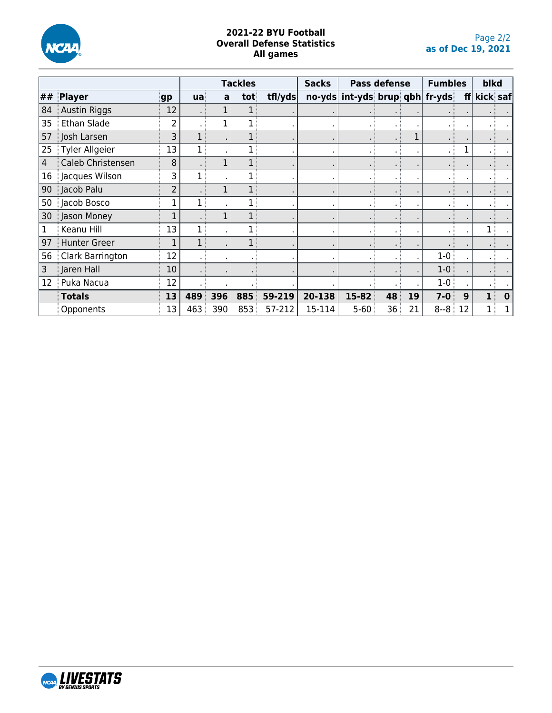

## **2021-22 BYU Football Overall Defense Statistics All games**

|    |                       |                |     |     | <b>Tackles</b> |         | <b>Sacks</b> |                                | <b>Pass defense</b> |    | <b>Fumbles</b> |    | blkd     |             |
|----|-----------------------|----------------|-----|-----|----------------|---------|--------------|--------------------------------|---------------------|----|----------------|----|----------|-------------|
| ## | Player                | gp             | ua  | a   | tot            | tfl/yds |              | no-yds int-yds brup qbh fr-yds |                     |    |                | ff | kick saf |             |
| 84 | <b>Austin Riggs</b>   | 12             |     |     |                |         |              |                                |                     |    |                |    |          |             |
| 35 | Ethan Slade           | $\overline{2}$ |     |     |                |         |              |                                |                     |    |                |    |          |             |
| 57 | Josh Larsen           | 3              |     |     |                |         |              |                                |                     |    |                |    |          |             |
| 25 | <b>Tyler Allgeier</b> | 13             |     |     |                |         |              |                                | $\blacksquare$      |    |                |    |          |             |
| 4  | Caleb Christensen     | 8              |     |     |                |         |              |                                | $\blacksquare$      |    |                |    |          |             |
| 16 | Jacques Wilson        | 3              |     |     |                |         |              | $\bullet$                      | ٠                   |    |                |    |          |             |
| 90 | Jacob Palu            | $\overline{2}$ |     |     |                |         |              |                                | $\blacksquare$      |    |                |    |          |             |
| 50 | Jacob Bosco           |                |     |     |                |         |              | $\bullet$                      | $\blacksquare$      |    |                |    |          |             |
| 30 | Jason Money           |                |     |     |                |         |              |                                | $\blacksquare$      |    |                |    |          |             |
| 1  | Keanu Hill            | 13             |     |     | 1              |         |              |                                | $\blacksquare$      |    |                |    |          |             |
| 97 | <b>Hunter Greer</b>   | 1              |     |     | 1              |         |              |                                |                     |    |                |    |          |             |
| 56 | Clark Barrington      | 12             |     |     |                |         |              |                                |                     |    | $1-0$          |    |          |             |
| 3  | Jaren Hall            | 10             |     |     |                |         |              |                                |                     |    | $1 - 0$        |    |          |             |
| 12 | Puka Nacua            | 12             |     |     |                |         |              |                                |                     |    | $1-0$          |    |          |             |
|    | <b>Totals</b>         | 13             | 489 | 396 | 885            | 59-219  | 20-138       | 15-82                          | 48                  | 19 | $7 - 0$        | 9  |          | $\mathbf 0$ |
|    | Opponents             | 13             | 463 | 390 | 853            | 57-212  | 15-114       | $5 - 60$                       | 36                  | 21 | $8 - 8$        | 12 |          |             |

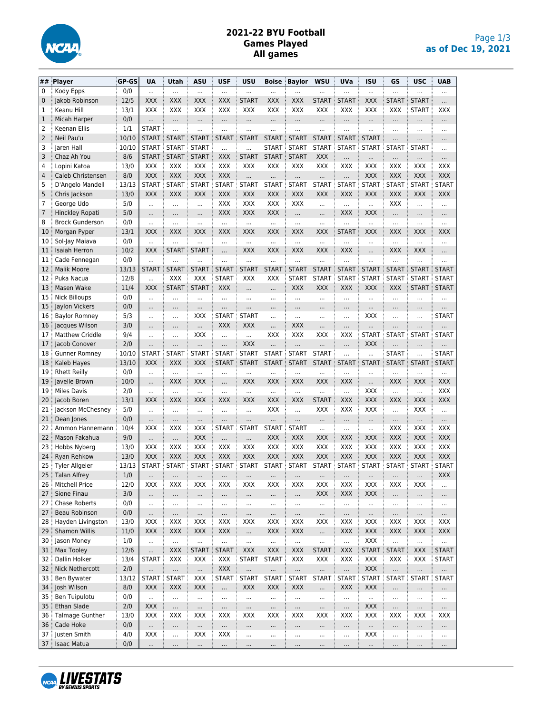

# **2021-22 BYU Football Games Played All games**

| ##  | Player                 | GP-GS | <b>UA</b>       | Utah         | ASU             | <b>USF</b>      | <b>USU</b>      | <b>Boise</b>    | <b>Baylor</b>   | <b>WSU</b>      | UVa                  | <b>ISU</b>             | GS           | <b>USC</b>      | <b>UAB</b>               |
|-----|------------------------|-------|-----------------|--------------|-----------------|-----------------|-----------------|-----------------|-----------------|-----------------|----------------------|------------------------|--------------|-----------------|--------------------------|
| 0   | Kody Epps              | 0/0   | $\cdots$        |              | $\cdots$        | $\cdots$        |                 | $\cdots$        |                 |                 | $\cdots$             | $\cdots$               |              | $\cdots$        |                          |
| 0   | Jakob Robinson         | 12/5  | <b>XXX</b>      | <b>XXX</b>   | XXX             | <b>XXX</b>      | <b>START</b>    | XXX             | <b>XXX</b>      | <b>START</b>    | <b>START</b>         | <b>XXX</b>             | <b>START</b> | <b>START</b>    |                          |
| 1   | Keanu Hill             | 13/1  | <b>XXX</b>      | XXX          | XXX             | XXX             | XXX             | XXX             | XXX             | XXX             | XXX                  | XXX                    | XXX          | <b>START</b>    | XXX                      |
| 1   | Micah Harper           | 0/0   |                 | $\cdots$     |                 | $\cdots$        | $\cdots$        | $\cdots$        |                 | $\cdots$        |                      |                        | $\cdots$     |                 |                          |
| 2   | Keenan Ellis           | 1/1   | <b>START</b>    | $\ddotsc$    | $\ddotsc$       | $\cdots$        | $\cdots$        | $\ddotsc$       |                 | $\cdots$        | $\ddotsc$            | $\cdots$               |              |                 |                          |
| 2   | Neil Pau'u             | 10/10 | <b>START</b>    | <b>START</b> | <b>START</b>    | <b>START</b>    | <b>START</b>    | <b>START</b>    | <b>START</b>    | <b>START</b>    | <b>START</b>         | <b>START</b>           |              |                 |                          |
| 3   | Jaren Hall             | 10/10 | <b>START</b>    | <b>START</b> | <b>START</b>    |                 |                 | <b>START</b>    | <b>START</b>    | <b>START</b>    | <b>START</b>         | <b>START</b>           | <b>START</b> | <b>START</b>    |                          |
| 3   | Chaz Ah You            | 8/6   | <b>START</b>    | <b>START</b> | <b>START</b>    | <b>XXX</b>      | <b>START</b>    | <b>START</b>    | <b>START</b>    | XXX             | $\cdots$             |                        |              | $\cdots$        |                          |
| 4   | Lopini Katoa           | 13/0  | <b>XXX</b>      | <b>XXX</b>   | XXX             | XXX             | XXX             | XXX             | <b>XXX</b>      | XXX             | XXX                  | XXX                    | XXX          | XXX             | XXX                      |
| 4   | Caleb Christensen      | 8/0   | <b>XXX</b>      | <b>XXX</b>   | XXX             | <b>XXX</b>      | $\cdots$        | $\cdots$        |                 |                 | $\cdots$             | <b>XXX</b>             | <b>XXX</b>   | XXX             | <b>XXX</b>               |
| 5   | D'Angelo Mandell       | 13/13 | START :         | <b>START</b> | <b>START</b>    | START :         | <b>START</b>    | <b>START</b>    | START :         | <b>START</b>    | <b>START</b>         | <b>START</b>           | <b>START</b> | <b>START</b>    | <b>START</b>             |
| 5   | Chris Jackson          | 13/0  | <b>XXX</b>      | XXX          | XXX             | <b>XXX</b>      | XXX             | <b>XXX</b>      | <b>XXX</b>      | XXX             | XXX                  | <b>XXX</b>             | XXX          | <b>XXX</b>      | <b>XXX</b>               |
| 7   | George Udo             | 5/0   | $\cdots$        | $\cdots$     | $\cdots$        | XXX             | <b>XXX</b>      | XXX             | <b>XXX</b>      | $\cdots$        | $\cdots$             | $\ddotsc$              | XXX          | $\cdots$        | $\cdots$                 |
| 7   | Hinckley Ropati        | 5/0   | $\cdots$        | $\cdots$     | $\cdots$        | <b>XXX</b>      | <b>XXX</b>      | <b>XXX</b>      | $\cdots$        | $\cdots$        | XXX                  | <b>XXX</b>             | $\cdots$     | $\cdots$        |                          |
| 8   | <b>Brock Gunderson</b> | 0/0   |                 |              | $\cdots$        |                 | $\ddotsc$       | $\ddotsc$       |                 |                 | $\cdots$             | $\cdots$               | $\cdots$     | $\cdots$        |                          |
| 10  | Morgan Pyper           | 13/1  | <b>XXX</b>      | <b>XXX</b>   | XXX             | <b>XXX</b>      | <b>XXX</b>      | XXX             | <b>XXX</b>      | XXX             | <b>START</b>         | <b>XXX</b>             | XXX          | XXX             | <b>XXX</b>               |
| 10  | Sol-Jay Maiava         | 0/0   | $\cdots$        |              | $\cdots$        |                 | $\ddotsc$       | $\ddotsc$       | $\cdots$        | $\cdots$        | $\cdots$             | $\cdots$               | $\cdots$     | $\cdots$        | $\cdots$                 |
| 11  | <b>Isaiah Herron</b>   | 10/2  | <b>XXX</b>      | <b>START</b> | <b>START</b>    |                 | <b>XXX</b>      | XXX             | <b>XXX</b>      | XXX             | XXX                  |                        | XXX          | XXX             | $\ddotsc$                |
| 11  | Cade Fennegan          | 0/0   |                 |              |                 |                 |                 | $\cdots$        |                 |                 |                      |                        |              |                 |                          |
| 12  | <b>Malik Moore</b>     | 13/13 | <b>START</b>    | <b>START</b> | <b>START</b>    | <b>START</b>    | <b>START</b>    | <b>START</b>    | <b>START</b>    | <b>START</b>    | <b>START</b>         | <b>START</b>           | <b>START</b> | <b>START</b>    | <b>START</b>             |
| 12  | Puka Nacua             | 12/8  |                 | XXX          | XXX             | <b>START</b>    | XXX             | XXX             | <b>START</b>    | <b>START</b>    | <b>START</b>         | <b>START</b>           | <b>START</b> | <b>START</b>    | <b>START</b>             |
| 13  | Masen Wake             | 11/4  | <b>XXX</b>      | <b>START</b> | <b>START</b>    | <b>XXX</b>      |                 |                 | <b>XXX</b>      | XXX             | XXX                  | <b>XXX</b>             | XXX          | START           | <b>START</b>             |
| 15  | <b>Nick Billoups</b>   | 0/0   | $\cdots$        |              | $\cdots$        |                 | $\cdots$        | $\cdots$        | $\cdots$        | $\cdots$        | $\cdots$             | $\cdots$               | $\cdots$     | $\cdots$        |                          |
| 15  | Jaylon Vickers         | 0/0   |                 |              | $\ddotsc$       | .               | $\ddotsc$       | $\cdots$        | $\cdots$        |                 | $\cdots$             | $\cdots$               |              | $\cdots$        | .                        |
| 16  | <b>Baylor Romney</b>   | 5/3   |                 | $\cdots$     | XXX             | <b>START</b>    | <b>START</b>    | $\ddotsc$       |                 |                 | $\cdots$             | <b>XXX</b>             | $\ddotsc$    | $\cdots$        | <b>START</b>             |
| 16  | Jacques Wilson         | 3/0   |                 |              | $\cdots$        | <b>XXX</b>      | <b>XXX</b>      | $\cdots$        | <b>XXX</b>      | .               |                      |                        | $\ddotsc$    | $\cdots$        | $\cdots$                 |
| 17  | <b>Matthew Criddle</b> | 9/4   | $\cdots$        |              | XXX             | $\ddotsc$       | $\ddotsc$       | XXX             | XXX             | XXX             | XXX                  | <b>START</b>           | <b>START</b> | <b>START</b>    | <b>START</b>             |
| 17  | Jacob Conover          | 2/0   | $\cdots$        | .            | $\cdots$        |                 | <b>XXX</b>      | $\cdots$        | $\cdots$        |                 | $\cdots$             | XXX                    |              | $\cdots$        | $\cdots$                 |
| 18  | <b>Gunner Romney</b>   | 10/10 | <b>START</b>    | <b>START</b> | <b>START</b>    | <b>START</b>    | <b>START</b>    | <b>START</b>    | <b>START</b>    | <b>START</b>    | $\ddotsc$            |                        | <b>START</b> | $\ddotsc$       | <b>START</b>             |
| 18  | Kaleb Hayes            | 13/10 | <b>XXX</b>      | XXX          | XXX             | <b>START</b>    | <b>START</b>    | <b>START</b>    | <b>START</b>    | <b>START</b>    | <b>START</b>         | <b>START</b>           | <b>START</b> | <b>START</b>    | <b>START</b>             |
| 19  | <b>Rhett Reilly</b>    | 0/0   | $\ddotsc$       | $\ddotsc$    | $\cdots$        |                 | $\ddotsc$       | $\cdots$        | $\ddotsc$       | $\cdots$        | $\cdots$             | $\ddotsc$              |              | $\cdots$        |                          |
| 19  | Javelle Brown          | 10/0  |                 | <b>XXX</b>   | XXX             |                 | <b>XXX</b>      | XXX             | <b>XXX</b>      | <b>XXX</b>      | XXX                  | $\cdots$               | <b>XXX</b>   | <b>XXX</b>      | <b>XXX</b>               |
| 19  | <b>Miles Davis</b>     | 2/0   |                 | $\cdots$     | $\ldots$        |                 | $\ddotsc$       | $\cdots$        |                 |                 | $\ddotsc$            | XXX                    | $\ddotsc$    | $\ddotsc$       | XXX                      |
| 20  | Jacob Boren            | 13/1  | <b>XXX</b>      | XXX          | XXX             | XXX             | XXX             | XXX             | <b>XXX</b>      | <b>START</b>    | XXX                  | <b>XXX</b>             | XXX          | XXX             | <b>XXX</b>               |
| 21  | Jackson McChesney      | 5/0   |                 |              |                 |                 |                 | XXX             | $\cdots$        | XXX             | XXX                  | XXX                    | $\ddotsc$    | XXX             |                          |
| 21  | Dean Jones             | 0/0   |                 |              |                 |                 |                 |                 |                 |                 | $\cdots$             | $\cdots$               |              | $\cdots$        |                          |
| 22  | Ammon Hannemann        | 10/4  | XXX             | XXX          | XXX             | <b>START</b>    | <b>START</b>    | <b>START</b>    | <b>START</b>    | $\ddotsc$       | $\cdots$             | $\ddotsc$              | XXX          | XXX             | XXX                      |
| 22  | Mason Fakahua          | 9/0   | $\cdots$        | $\cdots$     | XXX             | $\cdots$        | $\cdots$        | <b>XXX</b>      | <b>XXX</b>      | <b>XXX</b>      | XXX                  | <b>XXX</b>             | <b>XXX</b>   | XXX             | <b>XXX</b>               |
| 23  | Hobbs Nyberg           | 13/0  | <b>XXX</b>      | <b>XXX</b>   | XXX             | <b>XXX</b>      | <b>XXX</b>      | XXX             | <b>XXX</b>      | XXX             | XXX                  | <b>XXX</b>             | <b>XXX</b>   | XXX             | XXX                      |
| 24  | Ryan Rehkow            | 13/0  | <b>XXX</b>      | <b>XXX</b>   | XXX             | <b>XXX</b>      | <b>XXX</b>      | XXX             | <b>XXX</b>      | <b>XXX</b>      | XXX                  | <b>XXX</b>             | <b>XXX</b>   | XXX             | <b>XXX</b>               |
| 25  | <b>Tyler Allgeier</b>  | 13/13 | START:          | <b>START</b> | <b>START</b>    | START :         | <b>START</b>    | <b>START</b>    | <b>START</b>    | <b>START</b>    | <b>START</b>         | <b>START</b>           | <b>START</b> | <b>START</b>    | <b>START</b>             |
| 25  | <b>Talan Alfrey</b>    | 1/0   | $\cdots$        | $\cdots$     | $\cdots$        | $\cdots$        | $\cdots$        | $\cdots$        | $\cdots$        |                 | $\cdots$             | $\cdots$               | $\cdots$     |                 | XXX                      |
| 26  | Mitchell Price         | 12/0  | XXX             | XXX          | XXX             | XXX             | XXX             | XXX             | XXX             | XXX             | XXX                  | XXX                    | XXX          | XXX             | $\cdots$                 |
| 27  | Sione Finau            | 3/0   | $\cdots$        |              | $\cdots$        | $\cdots$        |                 | $\cdots$        | $\cdots$        | <b>XXX</b>      | XXX                  | <b>XXX</b>             |              | $\cdots$        | $\cdots$                 |
| 27  | Chase Roberts          | 0/0   | $\cdots$        | $\cdots$     | $\cdots$        | $\cdots$        | $\cdots$        | $\cdots$        | $\cdots$        | $\cdots$        | $\cdots$             | $\cdots$               | $\cdots$     | $\cdots$        | $\cdots$                 |
| 27  | Beau Robinson          | 0/0   | $\cdots$        |              | $\cdots$        | $\ldots$        | $\cdots$        | $\cdots$        | $\cdots$        |                 | $\cdots$             | $\cdots$               | $\cdots$     | $\cdots$        | $\cdots$                 |
| 28  | Hayden Livingston      | 13/0  | XXX             | XXX          | XXX             | XXX             | XXX             | XXX             | XXX             | XXX             | XXX                  | XXX                    | XXX          | XXX             | XXX                      |
| 29  | <b>Shamon Willis</b>   | 11/0  | XXX             | <b>XXX</b>   | XXX             | XXX             |                 | XXX             | <b>XXX</b>      | $\cdots$        | <b>XXX</b>           | XXX                    | XXX          | XXX             | XXX                      |
| 30  | Jason Money            | 1/0   | $\cdots$        |              | $\cdots$        |                 |                 | $\cdots$        | $\cdots$        |                 | $\cdots$             | XXX                    | $\ldots$     | $\cdots$        | $\cdots$                 |
| 31  | Max Tooley             | 12/6  |                 | <b>XXX</b>   | <b>START</b>    | <b>START</b>    | XXX             | <b>XXX</b>      | <b>XXX</b>      | <b>START</b>    | <b>XXX</b>           | <b>START</b>           | <b>START</b> | <b>XXX</b>      | <b>START</b>             |
| 32  | Dallin Holker          | 13/4  | <b>START</b>    | XXX          | XXX             | XXX             | <b>START</b>    | <b>START</b>    | XXX             | XXX             | XXX                  | XXX                    | XXX          | XXX             | <b>START</b>             |
| 32  | <b>Nick Nethercott</b> | 2/0   |                 |              | $\cdots$        | XXX             |                 |                 |                 |                 | $\cdots$             | XXX                    |              |                 |                          |
| 33  | Ben Bywater            | 13/12 | START           | <b>START</b> | XXX             | START           | <b>START</b>    | <b>START</b>    | START           | <b>START</b>    | <b>START</b>         | START                  | <b>START</b> | <b>START</b>    | $\cdots$<br><b>START</b> |
| 34  | Josh Wilson            | 8/0   | XXX             | <b>XXX</b>   | <b>XXX</b>      | $\ddotsc$       | XXX             | XXX             | <b>XXX</b>      |                 | XXX                  | XXX                    |              |                 |                          |
| 35  | Ben Tuipulotu          | 0/0   |                 |              |                 |                 |                 |                 |                 |                 |                      |                        | $\cdots$     | $\cdots$        |                          |
| 35  | Ethan Slade            | 2/0   | $\cdots$<br>XXX |              |                 |                 |                 |                 | $\cdots$        |                 |                      | $\ldots$<br><b>XXX</b> |              |                 | $\cdots$                 |
| 36  | Talmage Gunther        | 13/0  | XXX             | <br>XXX      | $\cdots$<br>XXX | $\cdots$<br>XXX | $\cdots$<br>XXX | $\cdots$<br>XXX | $\cdots$<br>XXX | $\cdots$<br>XXX | $\cdots$<br>XXX      | XXX                    | <br>XXX      | $\cdots$<br>XXX | $\cdots$<br>XXX          |
| 36  | Cade Hoke              | 0/0   |                 |              |                 |                 |                 |                 |                 |                 |                      |                        |              |                 |                          |
| 37  | Justen Smith           | 4/0   | $\cdots$<br>XXX | $\cdots$<br> | $\cdots$<br>XXX | $\cdots$<br>XXX | $\cdots$        | $\cdots$        | $\cdots$        | $\cdots$        | $\cdots$             | $\cdots$<br>XXX        | $\cdots$     | $\cdots$        | $\cdots$                 |
| 37: | <b>Isaac Matua</b>     | 0/0   | $\cdots$        |              | $\cdots$        | $\ldots$        |                 | $\cdots$        | $\ldots$        |                 | $\cdots$<br>$\cdots$ | $\ldots$               |              | $\cdots$        | $\cdots$                 |
|     |                        |       |                 | $\cdots$     |                 |                 | $\cdots$        | $\cdots$        | $\cdots$        | $\cdots$        |                      |                        | $\cdots$     | $\cdots$        | $\cdots$                 |

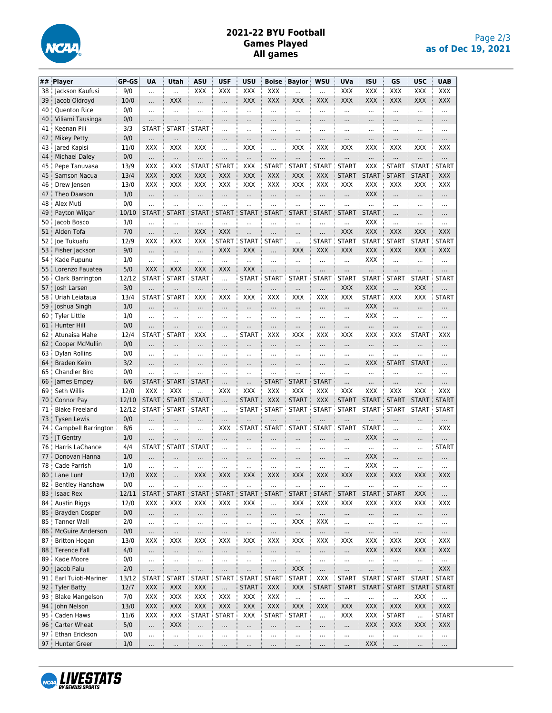

# **2021-22 BYU Football Games Played All games**

| ## | Player                 | GP-GS | <b>UA</b>    | Utah         | <b>ASU</b>   | <b>USF</b>   | <b>USU</b>   | <b>Boise</b>             | <b>Baylor</b> | <b>WSU</b>   | UVa                      | <b>ISU</b>     | GS           | <b>USC</b>   | <b>UAB</b>   |
|----|------------------------|-------|--------------|--------------|--------------|--------------|--------------|--------------------------|---------------|--------------|--------------------------|----------------|--------------|--------------|--------------|
| 38 | Jackson Kaufusi        | 9/0   |              |              | XXX          | XXX          | XXX          | XXX                      |               |              | XXX                      | XXX            | XXX          | XXX          | XXX          |
| 39 | Jacob Oldroyd          | 10/0  |              | XXX          |              |              | <b>XXX</b>   | <b>XXX</b>               | <b>XXX</b>    | <b>XXX</b>   | <b>XXX</b>               | XXX            | <b>XXX</b>   | <b>XXX</b>   | XXX          |
| 40 | Quenton Rice           | 0/0   |              |              |              |              |              |                          |               |              | $\cdots$                 | $\cdots$       |              |              |              |
| 40 | Viliami Tausinga       | 0/0   |              | .            |              |              |              | $\cdots$                 |               |              | $\cdots$                 |                |              | $\cdots$     | $\cdots$     |
| 41 | Keenan Pili            | 3/3   | <b>START</b> | <b>START</b> | <b>START</b> | $\cdots$     | $\cdots$     | $\cdots$                 | $\cdots$      |              | $\cdots$                 | $\cdots$       |              | $\cdots$     | $\cdots$     |
| 42 | <b>Mikey Petty</b>     | 0/0   |              |              |              |              | $\cdots$     | $\cdots$                 |               | $\cdots$     | $\cdots$                 |                |              | $\cdots$     | $\cdots$     |
| 43 | Jared Kapisi           | 11/0  | XXX          | XXX          | XXX          | $\cdots$     | XXX          | $\cdots$                 | XXX           | XXX          | XXX                      | XXX            | XXX          | XXX          | XXX          |
| 44 | <b>Michael Daley</b>   | 0/0   | $\cdots$     | $\cdots$     | $\cdots$     |              | $\cdots$     | $\cdots$                 | $\cdots$      | $\cdots$     |                          | $\cdots$       |              | $\cdots$     | $\cdots$     |
| 45 | Pepe Tanuvasa          | 13/9  | <b>XXX</b>   | XXX          | <b>START</b> | <b>START</b> | XXX          | <b>START</b>             | <b>START</b>  | <b>START</b> | <b>START</b>             | XXX            | <b>START</b> | <b>START</b> | <b>START</b> |
| 45 | <b>Samson Nacua</b>    | 13/4  | <b>XXX</b>   | <b>XXX</b>   | XXX          | <b>XXX</b>   | <b>XXX</b>   | <b>XXX</b>               | <b>XXX</b>    | <b>XXX</b>   | <b>START</b>             | <b>START</b>   | <b>START</b> | <b>START</b> | <b>XXX</b>   |
| 46 | Drew Jensen            | 13/0  | <b>XXX</b>   | XXX          | <b>XXX</b>   | <b>XXX</b>   | <b>XXX</b>   | <b>XXX</b>               | <b>XXX</b>    | <b>XXX</b>   | XXX                      | XXX            | XXX          | XXX          | XXX          |
| 47 | Theo Dawson            | 1/0   |              |              |              |              | $\cdots$     |                          | $\cdots$      | $\cdots$     |                          | XXX            |              | $\cdots$     | $\cdots$     |
| 48 | Alex Muti              | 0/0   |              | .            | $\cdots$     | $\cdots$     |              | .                        | $\cdots$      | .            | $\cdots$                 | $\cdots$       | $\cdots$     | .            | $\cdots$     |
| 49 | Payton Wilgar          | 10/10 | <b>START</b> | <b>START</b> | <b>START</b> | <b>START</b> | <b>START</b> | <b>START</b>             | <b>START</b>  | <b>START</b> | <b>START</b>             | <b>START</b>   | .            | $\cdots$     | $\cdots$     |
| 50 | lacob Bosco            | 1/0   |              |              |              |              |              |                          |               |              |                          | <b>XXX</b>     |              |              |              |
| 51 | Alden Tofa             | 7/0   |              |              | <b>XXX</b>   | <b>XXX</b>   | $\ddotsc$    |                          | .             | .            | XXX                      | XXX            | XXX          | XXX          | XXX          |
| 52 | Joe Tukuafu            | 12/9  | XXX          | XXX          | XXX          | <b>START</b> | <b>START</b> | <b>START</b>             |               | <b>START</b> | <b>START</b>             | <b>START</b>   | <b>START</b> | <b>START</b> | <b>START</b> |
| 53 | Fisher Jackson         | 9/0   |              |              |              | <b>XXX</b>   | <b>XXX</b>   | .                        | <b>XXX</b>    | <b>XXX</b>   | XXX                      | XXX            | XXX          | XXX          | XXX          |
| 54 | Kade Pupunu            | 1/0   |              |              |              | $\ldots$     |              | $\cdots$                 |               |              |                          | XXX            | $\cdots$     | $\cdots$     |              |
| 55 | Lorenzo Fauatea        | 5/0   | <b>XXX</b>   | XXX          | XXX          | <b>XXX</b>   | <b>XXX</b>   |                          | $\ddotsc$     | .            | $\cdots$                 | $\cdots$       | .            |              | $\cdots$     |
| 56 | Clark Barrington       | 12/12 | <b>START</b> | <b>START</b> | <b>START</b> | $\ddotsc$    | <b>START</b> | <b>START</b>             | <b>START</b>  | <b>START</b> | <b>START</b>             | <b>START</b>   | <b>START</b> | <b>START</b> | <b>START</b> |
| 57 | <b>Iosh Larsen</b>     | 3/0   | .            |              | $\cdots$     |              | $\ddotsc$    | $\cdots$                 | .             | .            | XXX                      | <b>XXX</b>     |              | XXX          | $\cdots$     |
| 58 | Uriah Leiataua         | 13/4  | <b>START</b> | <b>START</b> | XXX          | XXX          | XXX          | XXX                      | XXX           | <b>XXX</b>   | XXX                      | <b>START</b>   | XXX          | XXX          | <b>START</b> |
| 59 | Joshua Singh           | 1/0   | $\cdots$     |              | $\cdots$     |              | $\cdots$     | $\cdots$                 | $\cdots$      | $\cdots$     | $\cdots$                 | XXX            | $\cdots$     | $\cdots$     | $\cdots$     |
| 60 | <b>Tyler Little</b>    | 1/0   |              |              | $\cdots$     | $\cdots$     |              | $\cdots$                 | $\cdots$      |              | $\cdots$                 | XXX            | $\ddotsc$    | $\cdots$     | $\cdots$     |
| 61 | <b>Hunter Hill</b>     | 0/0   | $\ddotsc$    | $\ddotsc$    |              |              |              | $\cdots$                 | .             | $\cdots$     |                          |                | $\cdots$     |              | $\cdots$     |
| 62 | Atunaisa Mahe          | 12/4  | <b>START</b> | <b>START</b> | XXX          | $\ddotsc$    | <b>START</b> | XXX                      | XXX           | XXX          | XXX                      | XXX            | XXX          | <b>START</b> | XXX          |
| 62 | Cooper McMullin        | 0/0   | $\cdots$     |              | $\cdots$     |              |              | $\cdots$                 |               |              |                          |                |              | $\cdots$     |              |
| 63 | Dylan Rollins          | 0/0   |              |              |              |              |              | $\cdots$                 |               |              |                          | $\ddotsc$      |              |              | $\cdots$     |
| 64 | Braden Keim            | 3/2   |              |              |              |              |              |                          | .             |              |                          | XXX            | <b>START</b> | <b>START</b> |              |
| 65 | <b>Chandler Bird</b>   | 0/0   |              |              | $\cdots$     |              |              | .                        | .             |              |                          |                |              |              |              |
| 66 | James Empey            | 6/6   | <b>START</b> | <b>START</b> | <b>START</b> |              |              | <b>START</b>             | <b>START</b>  | <b>START</b> |                          |                |              |              |              |
| 69 | Seth Willis            | 12/0  | <b>XXX</b>   | <b>XXX</b>   |              | XXX          | XXX          | XXX                      | <b>XXX</b>    | <b>XXX</b>   | XXX                      | XXX            | XXX          | XXX          | XXX          |
| 70 | Connor Pay             | 12/10 | <b>START</b> | <b>START</b> | <b>START</b> | $\cdots$     | <b>START</b> | <b>XXX</b>               | <b>START</b>  | <b>XXX</b>   | <b>START</b>             | <b>START</b>   | <b>START</b> | <b>START</b> | <b>START</b> |
| 71 | <b>Blake Freeland</b>  | 12/12 | <b>START</b> | <b>START</b> | <b>START</b> | $\cdots$     | <b>START</b> | <b>START</b>             | <b>START</b>  | <b>START</b> | <b>START</b>             | <b>START</b>   | <b>START</b> | <b>START</b> | <b>START</b> |
| 73 | Tysen Lewis            | 0/0   |              |              | $\cdots$     |              | .            | $\cdots$                 | .             | $\cdots$     | $\cdots$                 | $\cdots$       |              | $\cdots$     | $\cdots$     |
| 74 | Campbell Barrington    | 8/6   | $\cdots$     | $\cdots$     | $\cdots$     | <b>XXX</b>   | <b>START</b> | <b>START</b>             | <b>START</b>  | START        | <b>START</b>             | <b>START</b>   | $\cdots$     | $\cdots$     | XXX          |
| 75 | <b>JT Gentry</b>       | 1/0   | .            | .            | $\cdots$     | $\cdots$     |              | $\cdots$                 | .             | $\cdots$     | $\cdots$                 | XXX            | $\cdots$     | $\cdots$     | $\cdots$     |
| 76 | Harris LaChance        | 4/4   | <b>START</b> | <b>START</b> | <b>START</b> | $\cdots$     | $\cdots$     | $\cdots$                 | $\cdots$      | $\cdots$     | $\cdots$                 | $\cdots$       | $\cdots$     | $\cdots$     | <b>START</b> |
| 77 | Donovan Hanna          | 1/0   | $\cdots$     | $\cdots$     | $\cdots$     | $\cdots$     | $\cdots$     | $\cdots$                 |               | $\cdots$     |                          | XXX            | $\cdots$     | $\cdots$     | $\cdots$     |
| 78 | Cade Parrish           | 1/0   |              | $\cdots$     | $\cdots$     | $\cdots$     | $\cdots$     | $\cdots$                 | $\cdots$      | $\cdots$     | $\cdots$                 | XXX            |              | $\cdots$     | $\cdots$     |
| 80 | Lane Lunt              | 12/0  | <b>XXX</b>   | $\ddotsc$    | <b>XXX</b>   | <b>XXX</b>   | <b>XXX</b>   | <b>XXX</b>               | <b>XXX</b>    | <b>XXX</b>   | XXX                      | XXX            | XXX          | XXX          | XXX          |
| 82 | <b>Bentley Hanshaw</b> | 0/0   |              |              |              | $\cdots$     |              |                          | $\cdots$      | $\cdots$     |                          | $\cdots$       | $\cdots$     | $\cdots$     | $\cdots$     |
| 83 | <b>Isaac Rex</b>       | 12/11 | <b>START</b> | <b>START</b> | <b>START</b> | <b>START</b> | <b>START</b> | <b>START</b><br>$\vdots$ | <b>START</b>  | <b>START</b> | <b>START</b><br>$\vdots$ | <b>START</b>   | <b>START</b> | <b>XXX</b>   | $\cdots$     |
| 84 | <b>Austin Riggs</b>    | 12/0  | XXX          | XXX          | XXX          | XXX          | XXX          |                          | XXX           | XXX          | XXX                      | XXX            | XXX          | XXX          | XXX          |
| 85 | <b>Brayden Cosper</b>  | 0/0   |              |              |              |              |              | $\cdots$                 |               |              |                          |                | $\cdots$     | $\cdots$     | $\cdots$     |
| 85 | <b>Tanner Wall</b>     | 2/0   | $\cdots$     | $\cdots$     |              |              |              |                          | XXX           | XXX          |                          |                | $\cdots$     | $\cdots$     | $\cdots$     |
| 86 | McGuire Anderson       | 0/0   | $\cdots$     |              |              |              |              | $\cdots$                 | $\cdots$      |              |                          |                |              | $\cdots$     | $\cdots$     |
| 87 | <b>Britton Hogan</b>   | 13/0  | <b>XXX</b>   | XXX          | XXX          | XXX          | XXX          | <b>XXX</b>               | XXX           | XXX          | XXX                      | XXX            | XXX          | XXX          | XXX          |
| 88 | <b>Terence Fall</b>    | 4/0   | $\cdots$     |              |              |              |              |                          |               | $\cdots$     |                          | XXX            | <b>XXX</b>   | <b>XXX</b>   | XXX          |
| 89 | Kade Moore             | 0/0   | $\cdots$     |              |              |              |              |                          | $\cdots$      |              |                          | $\cdots$       |              | $\ldots$     | $\cdots$     |
| 90 | Jacob Palu             | 2/0   |              |              |              |              |              |                          | <b>XXX</b>    |              |                          |                |              |              | XXX          |
| 91 | Earl Tuioti-Mariner    | 13/12 | START        | <b>START</b> | <b>START</b> | <b>START</b> | <b>START</b> | <b>START</b>             | <b>START</b>  | XXX          | <b>START</b>             | <b>START</b>   | <b>START</b> | <b>START</b> | <b>START</b> |
| 92 | <b>Tyler Batty</b>     | 12/7  | XXX          | XXX          | <b>XXX</b>   |              | <b>START</b> | XXX                      | XXX           | <b>START</b> | <b>START</b>             | <b>START</b>   | <b>START</b> | <b>START</b> | <b>START</b> |
| 93 | <b>Blake Mangelson</b> | 7/0   | XXX          | <b>XXX</b>   | <b>XXX</b>   | XXX          | XXX          | <b>XXX</b>               |               |              | $\ddotsc$                | $\ddotsc$      | $\ddotsc$    | XXX          | $\ddots$     |
| 94 | John Nelson            | 13/0  | XXX          | XXX          | XXX          | XXX          | XXX          | <b>XXX</b>               | XXX           | XXX          | XXX                      | XXX            | XXX          | <b>XXX</b>   | XXX          |
| 95 | Caden Haws             | 11/6  | XXX          | XXX          | <b>START</b> | <b>START</b> | <b>XXX</b>   | <b>START</b>             | <b>START</b>  |              | XXX                      | $\mathsf{XXX}$ | <b>START</b> | $\ldots$     | <b>START</b> |
| 96 | Carter Wheat           | 5/0   | $\cdots$     | <b>XXX</b>   |              |              | $\cdots$     |                          |               |              |                          | XXX            | XXX          | <b>XXX</b>   | <b>XXX</b>   |
| 97 | Ethan Erickson         | 0/0   |              |              |              |              |              |                          | $\cdots$      |              |                          | $\cdots$       | $\cdots$     |              | $\cdots$     |
| 97 | <b>Hunter Greer</b>    | 1/0   |              | $\cdots$     | $\cdots$     | $\cdots$     | $\cdots$     | $\cdots$                 | $\cdots$      | $\cdots$     | $\cdots$                 | XXX            | $\ldots$     | $\cdots$     | $\cdots$     |

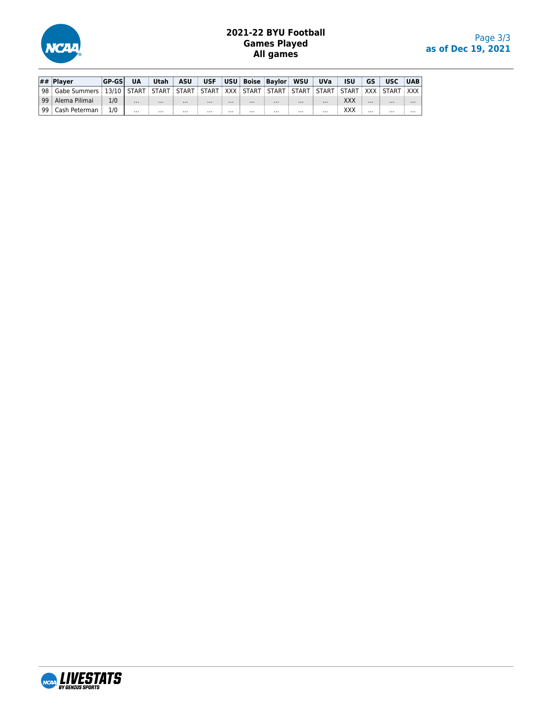

# **2021-22 BYU Football Games Played All games**

| $\#$ Plaver                                                                                                           | <b>GP-GSL</b> | <b>UA</b> | Utah ASU |          |          |          |          | USF USU Boise Baylor WSU UVa |          |          | <b>ISU</b> |          | <b>GS USC UAB</b> |          |
|-----------------------------------------------------------------------------------------------------------------------|---------------|-----------|----------|----------|----------|----------|----------|------------------------------|----------|----------|------------|----------|-------------------|----------|
| l 98 i Gabe Summers i 13/10   START i START i START i START i XXX i START i START i START i START i XXX i START i XXX |               |           |          |          |          |          |          |                              |          |          |            |          |                   |          |
| l 99 i Alema Pilimai                                                                                                  | 1/0           | $\cdots$  | $\cdots$ | $\cdots$ | $\cdots$ | $\cdots$ | $\cdots$ | $\cdots$                     | $\cdots$ | $\cdots$ | XXX        | $\cdots$ | $\cdots$          | $\cdots$ |
| 99 : Cash Peterman                                                                                                    | 1/0           | $\cdots$  | $\cdots$ | $\cdots$ | $\cdots$ | $\cdots$ | $\cdots$ | $\cdots$                     | $\cdots$ | $\cdots$ | ххх        | $\cdots$ | $\cdots$          | $\cdots$ |

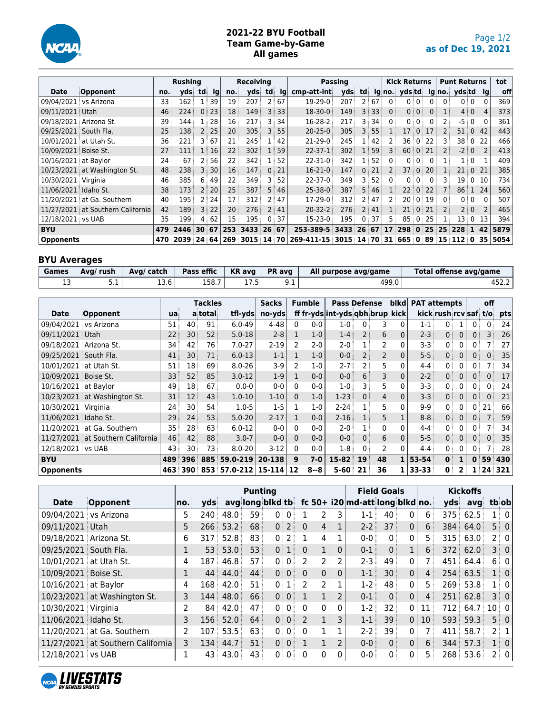

# **2021-22 BYU Football Team Game-by-Game All games**

|                       |                                   |     | <b>Rushing</b> |                |      |                 | <b>Receiving</b>     |                   |      |                                   | Passing |                 |      |                | <b>Kick Returns</b> |                |          |                   | <b>Punt Returns</b>    |                |              | tot  |
|-----------------------|-----------------------------------|-----|----------------|----------------|------|-----------------|----------------------|-------------------|------|-----------------------------------|---------|-----------------|------|----------------|---------------------|----------------|----------|-------------------|------------------------|----------------|--------------|------|
| Date                  | Opponent                          | no. | vds            | td             | Ig   | no.             | vds                  | td                | lg   | cmp-att-int                       | vds     | td              |      |                | $lg no.$ yds td     |                |          |                   | $ q $ no. yds td $ q $ |                |              | off  |
| 09/04/2021            | vs Arizona                        | 33  | 162            | 1 <sup>1</sup> | 39   | 19              | 207                  | 2 :               | 67   | 19-29-0                           | 207     | 2 <sup>1</sup>  | 67   | 0:             |                     | 0 <sub>0</sub> |          | 0 <sup>1</sup>    |                        | 0 <sup>1</sup> | $\mathbf{0}$ | 369  |
| 09/11/2021            | Utah                              | 46  | 224            |                | 0:23 | 18              | 149                  | 3 <sup>1</sup>    | 33   | 18-30-0                           | 149     |                 | 3:33 | $\mathbf{0}$   |                     | 0 <sup>1</sup> | $\Omega$ |                   |                        | 4 0            | 4            | 373  |
| 09/18/2021            | Arizona St.                       | 39  | 144            |                | 28   | 16              | 217                  | 3                 | 34   | 16-28-2                           | 217     | 3               | 34   | $\mathbf{0}$   | 0 <sup>1</sup>      | 0:             | 0        | $2^{\frac{1}{2}}$ | -5                     | 0 <sup>1</sup> | $\mathbf{0}$ | 361  |
| 09/25/2021 South Fla. |                                   | 25  | 138            |                | 2:25 | 20 <sup>3</sup> | 305                  | $\overline{3}$    | 55   | $20 - 25 - 0$                     | 305     | 3 <sup>3</sup>  | 55   |                | 17 <sup>1</sup>     | $\overline{0}$ | 17       | $\overline{2}$    | 51                     | $\Omega$       | 42           | 443  |
|                       | 10/01/2021 at Utah St.            | 36  | 221            | 3 :            | 67   | 21              | 245                  |                   | 42   | $21-29-0$                         | 245     | $1$ :           | 42   |                | 36 i                | $\overline{0}$ | 22       | 3                 | 38 0                   |                | 22           | 466  |
| 10/09/2021 Boise St.  |                                   | 27  | 111            |                | 1:16 | 22              | 302                  |                   | 59   | $22 - 37 - 1$                     | 302     | 1:              | 59   | 3              | 60:                 | $\overline{0}$ | 21       | $\overline{2}$    |                        | $-2$ 0         |              | 413  |
| 10/16/2021            | at Bavlor                         | 24  | 67             | 2              | 56   | 22              | 342                  |                   | 52   | $22 - 31 - 0$                     | 342     | 1 :             | 52   | 0 <sup>1</sup> | 0 <sup>1</sup>      | 0:             | 0        |                   |                        | 1:0:           |              | 409  |
|                       | 10/23/2021 at Washington St.      | 48  | 238            | 3 <sup>1</sup> | 30   | 16 <sup>3</sup> | 147                  | $\Omega$          | 21   | $16-21-0$                         | 147     | $\mathbf{0}$    | 21   |                | 37 :                | $\overline{0}$ | 20       | $\mathbf{1}$      | 21:                    | $\overline{0}$ | 21           | 385  |
| 10/30/2021 Virginia   |                                   | 46  | 385            | 6              | 49   | 22              | 349                  | 3.                | 52   | $22 - 37 - 0$                     | 349     | 3               | 52   | $\mathbf{0}$   | 0 <sup>1</sup>      | 0:             | 0        | 3                 |                        | 19 0 10        |              | 734  |
| 11/06/2021 Idaho St.  |                                   | 38  | 173            |                | 2:20 | 25              | 387                  | 5 !               | 46   | $25 - 38 - 0$                     | 387     | 5               | 46   |                | 22 <sub>1</sub>     | $\Omega$       | -22      | $\overline{7}$    | 86                     | 1124           |              | 560  |
| 11/20/2021            | at Ga. Southern                   | 40  | 195            |                | 2:24 | 17              | 312                  | 2                 | 47   | $17-29-0$                         | 312     | 2 <sup>1</sup>  | 47   |                | 20 <sup>1</sup>     | $\Omega$       | 19       | $\mathbf{0}$      |                        | 0:0:           | $\Omega$     | 507  |
|                       | 11/27/2021 at Southern California | 42  | 189            |                | 3 22 | 20:             | 276                  | $2^{\frac{1}{2}}$ | 41   | $20 - 32 - 2$                     | 276     | 2 <sup>1</sup>  | 41   |                | 21                  | 0 <sup>1</sup> | 21       | $\overline{2}$    |                        | 2 0            |              | 465  |
| 12/18/2021 vs UAB     |                                   | 35  | 199            | 4              | 62   | 15 <sup>1</sup> | 195                  | 0 <sup>1</sup>    | 37   | $15 - 23 - 0$                     | 195     | $\Omega$        | 37   | 5 !            | 85                  | 0:             | 25       |                   |                        | 13 0 13        |              | 394  |
| <b>BYU</b>            |                                   | 479 | 2446           | 30:67          |      | 253             | 3433                 | 26                | - 67 | 253-389-5                         | 3433    | 26 <sup>1</sup> | 67   | 17             | 298                 | $\mathbf{0}$   | 25       | 25 <sup>1</sup>   | 228                    | $\mathbf{T}$   | 42           | 5879 |
| <b>Opponents</b>      |                                   | 470 | 2039           |                |      |                 | 24 64 269 3015 14 70 |                   |      | 269-411-15 3015 14 70 31 665 0 89 |         |                 |      |                |                     |                |          |                   | $15$ $112$ $0$ $35$    |                |              | 5054 |

# **BYU Averages**

| Games    | Avg/ rush | Ava/ catch | Pass effic | $\mathsf{K}\mathsf{R}$ avg | <b>PR</b> avg | All purpose avg/game | Total offense avg/game |
|----------|-----------|------------|------------|----------------------------|---------------|----------------------|------------------------|
| - -<br>ᅩ | ـ         | 13.6       | 158.7      | ر. ، ۱                     | シ・エ           | 499.0                | 452.2                  |

|                        |                                |     |                   | <b>Tackles</b> |                     | <b>Sacks</b> |                | <b>Fumble</b> | <b>Pass Defense</b>             |                |                | blkd         | <b>PAT attempts</b> |                       |              |                | off             |     |
|------------------------|--------------------------------|-----|-------------------|----------------|---------------------|--------------|----------------|---------------|---------------------------------|----------------|----------------|--------------|---------------------|-----------------------|--------------|----------------|-----------------|-----|
| <b>Date</b>            | Opponent                       | ua  |                   | a total        | tfl-yds             | no-yds       |                |               | ff fr-yds int-yds qbh brup kick |                |                |              |                     | kick rush rcv saf t/o |              |                |                 | pts |
| 09/04/2021 vs Arizona  |                                | 51  | 40                | 91             | $6.0 - 49$          | 4-48         | 0 <sup>1</sup> | $0-0$         | $1 - 0$                         | $\mathbf{0}$   | 3              | 0            | $1 - 1$             | 0                     |              | 0              | 0               | 24  |
| 09/11/2021             | i Utah                         | 22  | 30                | 52             | $5.0 - 18$          | $2 - 8$      |                | $1-0$         | $1 - 4$                         | $\overline{2}$ | 6              | 0            | $2 - 3$             | 0 <sup>1</sup>        | $\Omega$     | 0 <sup>1</sup> | 3               | 26  |
| 09/18/2021             | Arizona St.                    | 34  | 42                | 76             | $7.0 - 27$          | $2 - 19$     |                | $2-0$         | $2 - 0$                         | 1              | 2              | $\Omega$     | 3-3                 | 0                     | 0            | 0:             |                 | 27  |
| 09/25/2021             | South Fla.                     | 41  | 30                | 71             | $6.0 - 13$          | $1 - 1$      |                | $1-0$         | $0 - 0$                         | $\overline{2}$ | $\overline{2}$ | $\mathbf{0}$ | $5 - 5$             | 0 <sup>1</sup>        | $\Omega$     | 0:             | 0.              | 35  |
| 10/01/2021             | at Utah St.                    | 51  | 18                | 69             | $8.0 - 26$          | $3-9$        |                | $1-0$         | $2 - 7$                         | $\overline{2}$ | 5              | 0            | $4 - 4$             | 0                     | 0            | 0              |                 | 34  |
| 10/09/2021 Boise St.   |                                | 33  | 52                | 85             | $3.0 - 12$          | $1-9$        |                | $0 - 0$       | $0-0$                           | 6              | 3              | 0            | $2 - 2$             | 0 <sup>1</sup>        | $\mathbf 0$  | 0              | 0               | 17  |
| 10/16/2021             | at Bavlor                      | 49  | 18                | 67             | $0.0 - 0$           | $0-0$        |                | $0 - 0$       | 1-0                             | 3              | 5              | 0            | $3 - 3$             | 0                     | 0            | $\mathbf{0}$   | 0               | 24  |
|                        | $10/23/2021$ at Washington St. | 31  | $12 \overline{ }$ | 43             | $1.0 - 10$          | $1 - 10$     | $\Omega$       | $1-0$         | $1-23$                          | 0 <sup>1</sup> | $\overline{4}$ | $\mathbf{0}$ | $3 - 3$             | 0 <sup>1</sup>        | $\mathbf{0}$ | 0 <sup>1</sup> | 0               | 21  |
| 10/30/2021 Virginia    |                                | 24  | 30                | 54             | $1.0 - 5$           | $1-5$        |                | $1-0$         | $2 - 24$                        |                | 5              | 0            | $9-9$               | $\mathbf{0}$          | 0            | 0              | 21              | 66  |
| 11/06/2021   Idaho St. |                                | 29  | 24                | 53             | $5.0 - 20$          | $2 - 17$     |                | $0 - 0$       | $2 - 16$                        | $1$ :          | 5              |              | $8 - 8$             | 0 <sup>1</sup>        | $\mathbf{0}$ | 0 <sup>1</sup> |                 | 59  |
| 11/20/2021             | at Ga. Southern                | 35  | 28                | 63             | $6.0 - 12$          | $0-0$        | $\Omega$       | $0 - 0$       | $2 - 0$                         |                | 0              | 0            | $4 - 4$             | 0                     | 0            | 0              |                 | 34  |
| 11/27/2021             | at Southern California         | 46  | 42                | 88             | $3.0 - 7$           | $0-0$        |                | $0 - 0$       | $0-0$                           | 0 <sup>3</sup> | 6              | $\mathbf{0}$ | $5 - 5$             | $0^{\frac{1}{2}}$     | $\Omega$     | 0 <sup>1</sup> | 0               | 35  |
| 12/18/2021 vs UAB      |                                | 43  | 30                | 73             | $8.0 - 20$          | $3-12$       | $\Omega$       | $0 - 0$       | $1-8$                           | $\Omega$       | 2              | 0            | $4 - 4$             | 0 <sup>1</sup>        | 0            | 0              |                 | 28  |
| <b>BYU</b>             |                                | 489 | 396               | 885            | 59.0-219            | 20-138       | $\mathbf{9}$   | $7 - 0$       | 15-82                           | 19             | 48             | 1            | 53-54               | $\mathbf{0}$          |              | $\mathbf{0}$   | 59              | 430 |
| <b>Opponents</b>       |                                | 463 | 390               |                | 853 57.0-212 15-114 |              | 12             | $8 - 8$       | $5 - 60$                        | 21             | 36             | 1            | 33-33               | 0                     | 2            |                | 24 <sup>1</sup> | 321 |

|                        |                                   |     |                 |      | <b>Punting</b> |                   |                 |                |                |                |                                      | <b>Field Goals</b> |              |                   |     | <b>Kickoffs</b> |        |                   |
|------------------------|-----------------------------------|-----|-----------------|------|----------------|-------------------|-----------------|----------------|----------------|----------------|--------------------------------------|--------------------|--------------|-------------------|-----|-----------------|--------|-------------------|
| <b>Date</b>            | Opponent                          | no. | vds             |      |                | avg long blkd tb  |                 |                |                |                | $fc 50+ i20 $ md-att $ long b kd no$ |                    |              |                   | yds | avg             | tbiobl |                   |
| 09/04/2021             | vs Arizona                        | 5.  | 240             | 48.0 | 59             | $0^{\frac{1}{2}}$ | $\overline{0}$  | 1:             |                | 3              | $1 - 1$                              | 40                 | $\Omega$     | 6                 | 375 | 62.5            |        | $1 \mid 0 \mid$   |
| 09/11/2021 Utah        |                                   | 5   | 266             | 53.2 | 68             |                   | $0$   2         | 0 <sup>1</sup> | 4:             | 1              | $2 - 2$                              | 37                 | $\mathbf{0}$ | 6                 | 384 | 64.0            |        | $5 \mid 0$        |
| 09/18/2021 Arizona St. |                                   | 6   | 317             | 52.8 | 83             | 0 <sup>1</sup>    | 2               |                | 4              |                | $0 - 0$                              | 0 <sup>1</sup>     | 0            | 5.                | 315 | 63.0            |        | 2:01              |
| 09/25/2021 South Fla.  |                                   | 1   | 53 <sup>1</sup> | 53.0 | 53             | 0 <sup>1</sup>    | 1 <sup>1</sup>  | 0 <sup>1</sup> | 1              | $\Omega$       | $0 - 1$                              | $\mathbf{0}$       |              | 6 <sup>3</sup>    |     | 372 62.0        |        | 3 0               |
| 10/01/2021 at Utah St. |                                   | 4   | 187             | 46.8 | 57             |                   | 0:0:            |                | 2 :            | 2              | $2-3$                                | 49                 | $\mathbf{0}$ |                   | 451 | 64.4            |        | 6 0               |
| 10/09/2021 Boise St.   |                                   |     | 44              | 44.0 | 44             |                   | 0 0             | 0 <sup>1</sup> | 0 <sup>1</sup> | $\Omega$       | $1 - 1$                              | 30                 | $\Omega$     | $\overline{4}$    |     | 254 63.5        |        | 1 0               |
| 10/16/2021 at Baylor   |                                   | 4   | 168             | 42.0 | 51             | 0:                | 1               | 2 i            | 2 <sup>1</sup> |                | $1-2$                                | 48                 | $\mathbf{0}$ | 5.                |     | 269 53.8        |        | 1:0               |
|                        | 10/23/2021 at Washington St.      | 3   | 144             | 48.0 | 66             |                   | 0 0             |                | 1 <sup>1</sup> | $\overline{2}$ | $0 - 1$                              | $\mathbf{0}$       | $\mathbf{0}$ | $\overline{4}$    | 251 | 62.8            |        | 3 0               |
| 10/30/2021 Virginia    |                                   | 2   | 84 :            | 42.0 | 47             | 0:                | $0^{\circ}$     | $\Omega$       | 0 <sup>1</sup> | 0              | $1-2$                                | 32                 | 0            | 11                | 712 | 64.7            | 10 0   |                   |
| 11/06/2021 Idaho St.   |                                   | 3   | 156             | 52.0 | 64             |                   | $0 \mid 0 \mid$ | 2 <sup>1</sup> | $1^+$          | 3              | $1 - 1$                              | 39                 | $\mathbf{0}$ | 10 <sup>1</sup>   | 593 | 59.3            |        | $5 \mid 0$        |
|                        | 11/20/2021 at Ga. Southern        | 2   | 107             | 53.5 | 63             |                   | $0 \mid 0 \mid$ | 0 <sup>1</sup> |                |                | $2-2$                                | 39                 | $\mathbf{0}$ |                   | 411 | 58.7            |        | $2 \mid 1 \mid$   |
|                        | 11/27/2021 at Southern California | 3   | 134             | 44.7 | 51             |                   | 0:0:            | 1              |                | $\overline{2}$ | $0 - 0$                              | $\mathbf{0}$       | $\mathbf{0}$ | $6^{\frac{1}{3}}$ | 344 | 57.3            |        | $1 \vert 0 \vert$ |
| 12/18/2021 vs UAB      |                                   | 1   | 43              | 43.0 | 43             | 0 <sup>1</sup>    | 0 <sup>1</sup>  | 0              | 0              | 0              | $0 - 0$                              | 0 <sup>1</sup>     | 0            | 5.                |     | $268$ 53.6      |        | 2 0               |

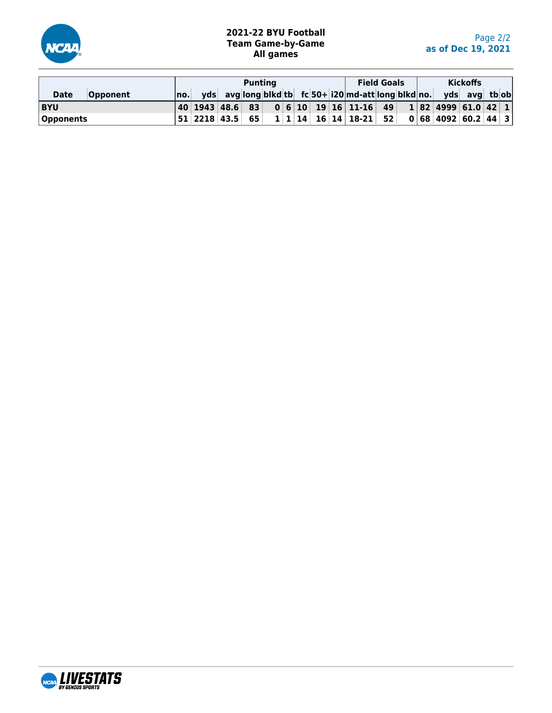

# **2021-22 BYU Football Team Game-by-Game All games**

|                                |       |  | <b>Puntina</b> |  |  |                                                                      | <b>Field Goals</b> |  | <b>Kickoffs</b> |  |
|--------------------------------|-------|--|----------------|--|--|----------------------------------------------------------------------|--------------------|--|-----------------|--|
| <b>Opponent</b><br><b>Date</b> | ∣no.⊟ |  |                |  |  | yds avg long blkd tb $fc$ 50+ i20 md-att long blkd no. yds avg tb ob |                    |  |                 |  |
| <b>BYU</b>                     |       |  |                |  |  |                                                                      |                    |  |                 |  |
| Opponents                      |       |  |                |  |  |                                                                      |                    |  |                 |  |

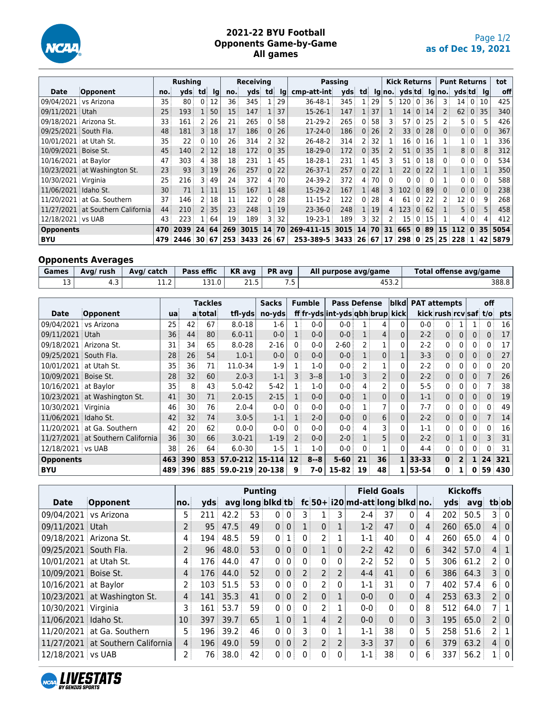

### **2021-22 BYU Football Opponents Game-by-Game All games**

|                       |                                   |     | <b>Rushing</b> |                |                 |     | <b>Receiving</b> |            |              |                      | Passing |                   |    |                | <b>Kick Returns</b>      |                         |               |                 | <b>Punt Returns</b> |                 |          | tot  |
|-----------------------|-----------------------------------|-----|----------------|----------------|-----------------|-----|------------------|------------|--------------|----------------------|---------|-------------------|----|----------------|--------------------------|-------------------------|---------------|-----------------|---------------------|-----------------|----------|------|
| Date                  | Opponent                          | no. | vds            | td             | <u>Ig</u>       | no. | vds              | td         | lq           | cmp-att-int          | vds     | td                |    |                | $lg no.$ yds td          |                         |               |                 | lg no. yds td lg    |                 |          | off  |
| 09/04/2021            | vs Arizona                        | 35  | 80             |                | 12              | 36  | 345              |            | 29           | 36-48-1              | 345     | 1                 | 29 |                | $5 \mid 120 \mid 0 \mid$ |                         | 36            | 3               |                     | $14 \ 0 \ 10$   |          | 425  |
| 09/11/2021 Utah       |                                   | 25  | 193            |                | 50              | 15  | 147              |            | 1:37         | $15-26-1$            | 147     | 1 <sup>1</sup>    | 37 |                | 14                       |                         | 0:14          | $\overline{2}$  | 62:                 | 0:35            |          | 340  |
|                       | 09/18/2021 Arizona St.            | 33  | 161            | 2              | 26              | 21  | 265              | 0          | 58           | $21-29-2$            | 265     | $\mathbf{0}$      | 58 | 3              | 57:0                     |                         | 25            | $\mathsf{2}$    | 5                   | $\cdot$ 0       | 5        | 426  |
| 09/25/2021 South Fla. |                                   | 48  | 181            |                | 3:18            | 17  | 186              | 0          | 26           | $17-24-0$            | 186     | $\mathbf{0}$      | 26 |                | 33 <sup>3</sup>          |                         | 0:28          | $\Omega$        |                     | 0:0:            | $\Omega$ | 367  |
|                       | 10/01/2021 at Utah St.            | 35  | 22             | 0              | 10              | 26  | 314              |            | 32           | 26-48-2              | 314     | 2 <sup>3</sup>    | 32 |                | 16                       |                         | 0:16          |                 |                     | $1 \mid 0 \mid$ |          | 336  |
| 10/09/2021 Boise St.  |                                   | 45  | 140            |                | 2:12            | 18  | 172              | $\Omega$ : | 35           | 18-29-0              | 172     | $0^{\frac{1}{2}}$ | 35 |                |                          |                         | 51 0 35       | 1               |                     | 8 0             | 8        | 312  |
| 10/16/2021 at Baylor  |                                   | 47  | 303            | 4              | 38              | 18  | 231              |            | 45           | 18-28-1              | 231     | $\mathbf{1}$      | 45 | 3.             | 51                       | $\Omega$                | 18            | $\Omega$        |                     | 0:0:            | $\Omega$ | 534  |
|                       | 10/23/2021 at Washington St.      | 23  | 93             |                | 3 19            | 26  | 257              | 0:         | 22           | $26 - 37 - 1$        | 257     | 0 <sup>3</sup>    | 22 |                | 22 <sup>1</sup>          | $\overline{0}$          | 22            | $\mathbf{1}$    |                     | $1 \mid 0 \mid$ |          | 350  |
| 10/30/2021 Virginia   |                                   | 25  | 216            | 3              | 49              | 24  | 372              | 4          | 70           | 24-39-2              | 372     | $\overline{4}$    | 70 | 0:             |                          | 0:0:                    | $\Omega$      |                 |                     | 0:0:            | 0        | 588  |
| 11/06/2021 Idaho St.  |                                   | 30  | 71             |                | $\overline{11}$ | 15  | 167              |            | 1:48         | $15-29-2$            | 167     | 1:                | 48 | $\overline{3}$ | 102                      |                         | 0:89          | $\Omega$        |                     | 0:0:            | $\Omega$ | 238  |
|                       | 11/20/2021 at Ga. Southern        | 37  | 146            | 2 <sup>1</sup> | 18              | 11  | 122              | 0          | 28           | $11 - 15 - 2$        | 122     | $\mathbf{0}$      | 28 | 4:             | 61                       | $^{\circ}$ 0 $^{\circ}$ | 22            | 2:              | 12 0                |                 | 9        | 268  |
|                       | 11/27/2021 at Southern California | 44  | 210            |                | 2:35            | 23: | 248              |            | $1 \vert 19$ | $23 - 36 - 0$        | 248     | 1                 | 19 | 4:             | 123                      |                         | 0.62          | 1               |                     | 5 0             | 5        | 458  |
| 12/18/2021 vs UAB     |                                   | 43  | 223            |                | 64              | 19  | 189              | 3          | 32           | 19-23-1              | 189     | 3.                | 32 |                |                          |                         | $15 \t0 \t15$ |                 |                     | $4 \mid 0 \mid$ | 4        | 412  |
| <b>Opponents</b>      |                                   | 470 | 2039           | 24             | 64              | 269 | 3015             | 14         | 70           | 269-411-15           | 3015    | 14                | 70 | 31             | 665                      | $\mathbf{0}$            | 89            | 15 <sup>3</sup> | 112                 | $\mathbf{0}$    | 35       | 5054 |
| <b>BYU</b>            |                                   | 479 | 2446           | 30 67          |                 |     | 253 3433 26 67   |            |              | 253-389-5 3433 26 67 |         |                   |    |                | 17 298 0 25              |                         |               |                 | 25   228   1   42   |                 |          | 5879 |

# **Opponents Averages**

| Games | Avg/ rush | Ava/ catch  | Pass effic | KR avg | <b>PR</b> avg | All purpose avg/game | Total offense avg/game |
|-------|-----------|-------------|------------|--------|---------------|----------------------|------------------------|
| ᅩ     | ر .       | ר י<br>⊥⊥.∠ | 131.0      | 21.5   |               | ـ ∠.د ⊂4             | 388.8                  |

|                        |                                |     |                 | <b>Tackles</b> |              | <b>Sacks</b> |          | <b>Fumble</b> | <b>Pass Defense</b>             |                       |                | blkd         | <b>PAT attempts</b> |                       |                |                | off                              |     |
|------------------------|--------------------------------|-----|-----------------|----------------|--------------|--------------|----------|---------------|---------------------------------|-----------------------|----------------|--------------|---------------------|-----------------------|----------------|----------------|----------------------------------|-----|
| <b>Date</b>            | Opponent                       | ua  |                 | a total        | tfl-yds      | no-yds       |          |               | ff fr-yds int-yds qbh brup kick |                       |                |              |                     | kick rush rcv saf t/o |                |                |                                  | pts |
| 09/04/2021 vs Arizona  |                                | 25. | 42              | 67             | $8.0 - 18$   | 1-6          |          | $0 - 0$       | $0 - 0$                         | 1                     | 4              | 0            | $0 - 0$             | 0                     |                |                | 0                                | 16  |
| 09/11/2021             | i Utah                         | 36  | 44              | 80             | $6.0 - 11$   | $0 - 0$      |          | $0 - 0$       | $0-0$                           | 1                     | $\overline{4}$ | 0            | $2 - 2$             | 0 <sup>1</sup>        | $\Omega$       | 0 <sup>1</sup> | 0                                | 17  |
| 09/18/2021             | Arizona St.                    | 31  | 34              | 65             | $8.0 - 28$   | $2 - 16$     | $\Omega$ | $0 - 0$       | $2 - 60$                        | $\mathbf{2}^{\prime}$ | 1              | 0            | $2 - 2$             | 0                     | 0              | 0 <sup>3</sup> | 0                                | 17  |
| 09/25/2021             | South Fla.                     | 28  | 26 <sup>1</sup> | 54             | $1.0 - 1$    | $0-0$        | 0        | $0 - 0$       | $0 - 0$                         |                       | 0              |              | $3 - 3$             | 0 <sup>1</sup>        | $\Omega$       | 0 <sup>1</sup> | 0                                | 27  |
| 10/01/2021             | at Utah St.                    | 35  | 36              | 71             | 11.0-34      | $1-9$        |          | $1-0$         | $0-0$                           | $\overline{2}$        |                | 0            | $2 - 2$             | $\mathbf{0}$          | 0              | 0              | 0                                | 20  |
| 10/09/2021 Boise St.   |                                | 28  | 32              | 60             | $2.0 - 3$    | $1 - 1$      |          | $3 - 8$       | $1 - 0$                         | 3                     | 2              | 0            | $2 - 2$             | 0 <sup>1</sup>        | $\mathbf{0}$   | 0 <sup>1</sup> |                                  | 26  |
| 10/16/2021             | at Bavlor                      | 35  | 8               | 43             | $5.0 - 42$   | $5 - 42$     |          | $1-0$         | $0-0$                           | $\overline{4}$        | 2              | 0            | $5 - 5$             | 0                     | 0              | 0              |                                  | 38  |
|                        | $10/23/2021$ at Washington St. | 41  | 30 <sup>3</sup> | 71             | $2.0 - 15$   | $2 - 15$     |          | $0 - 0$       | $0 - 0$                         | 1                     | 0              | $\Omega$     | $1 - 1$             | 0 <sup>1</sup>        | $\mathbf{0}$   | 0 <sup>1</sup> | 0                                | 19  |
| 10/30/2021 Virginia    |                                | 46  | 30              | 76             | $2.0 - 4$    | $0-0$        | $\Omega$ | $0-0$         | $0 - 0$                         |                       | 7              | 0            | $7 - 7$             | $\mathbf{0}$          | 0              | $0^{\circ}$    | 0                                | 49  |
| 11/06/2021   Idaho St. |                                | 42  | 32              | 74             | $3.0 - 5$    | $1 - 1$      |          | $2 - 0$       | $0-0$                           | $0^{\frac{1}{2}}$     | 6              | $\mathbf{0}$ | $2 - 2$             | 0 <sup>1</sup>        | $\mathbf{0}$   | 0 <sup>1</sup> |                                  | 14  |
| 11/20/2021             | at Ga. Southern                | 42  | 20              | 62             | $0.0 - 0$    | $0-0$        | $\Omega$ | $0 - 0$       | $0-0$                           | 4 <sup>1</sup>        | 3              | 0            | $1 - 1$             | 0                     | 0              | $0^{\circ}$    | 0                                | 16  |
| 11/27/2021             | at Southern California         | 36  | 30              | 66             | $3.0 - 21$   | $1 - 19$     |          | $0-0$         | $2 - 0$                         | $\mathbf{1}$          | 5              | $\mathbf{0}$ | $2 - 2$             | 0 <sup>1</sup>        |                | 0:             | 3                                | 31  |
| 12/18/2021 vs UAB      |                                | 38  | 26 <sup>3</sup> | 64             | $6.0 - 30$   | $1-5$        |          | $1-0$         | $0 - 0$                         | $\Omega$              |                | 0            | $4 - 4$             | 0 <sup>1</sup>        | 0              | 0 <sup>1</sup> | 0                                | 31  |
| <b>Opponents</b>       |                                | 463 | 390             | 853            | 57.0-212     | 15-114       | 12       | $8 - 8$       | $5 - 60$                        | 21                    | 36             | 1            | $33 - 33$           | $\mathbf{0}$          | $\overline{2}$ |                | $1 \overline{\smash{\big)}\ 24}$ | 321 |
| BYU                    |                                | 489 | 396             |                | 885 59.0-219 | 20-138       | 9        | 7-0           | $15 - 82$                       | 19                    | 48             | 1            | 53-54               | $\mathbf{0}$          |                | 0              | 59                               | 430 |

|                        |                                   |                   |       |      | <b>Punting</b> |                  |                |                |                   |                |                                       | <b>Field Goals</b> |              |                   |       | <b>Kickoffs</b> |                 |
|------------------------|-----------------------------------|-------------------|-------|------|----------------|------------------|----------------|----------------|-------------------|----------------|---------------------------------------|--------------------|--------------|-------------------|-------|-----------------|-----------------|
| <b>Date</b>            | Opponent                          | no.               | vds   |      |                | avg long blkd tb |                |                |                   |                | $fc 50+ 120 $ md-att $ long blkd no.$ |                    |              |                   | vds   | avq             | tbiobl          |
| 09/04/2021             | vs Arizona                        | 5.                | 211   | 42.2 | 53             | 0:0:             |                | 3 :            |                   | 3              | $2 - 4$                               | 37                 | $\Omega$     | 4                 | 202   | 50.5            | $3 \mid 0 \mid$ |
| 09/11/2021 Utah        |                                   | $2^{\frac{1}{2}}$ | 95    | 47.5 | 49             | 0 0              |                | $1$ :          | 0 <sup>1</sup>    | 1              | $1-2$                                 | 47                 | $\mathbf{0}$ | 4                 |       | 260   65.0      | $4 \div 0$      |
| 09/18/2021 Arizona St. |                                   | 4                 | 194 i | 48.5 | 59             | 0 <sup>1</sup>   | 1              | 0              |                   |                | $1 - 1$                               | 40                 | 0            | 4                 | 260   | 65.0            | 4   0           |
| 09/25/2021 South Fla.  |                                   | $\overline{2}$    | 96    | 48.0 | 53             | 0 0              |                | $\Omega$       |                   | $\mathbf{0}$   | $2 - 2$                               | 42                 | $\Omega$     | 6                 | 342   | 57.0            | $4 \mid 1 \mid$ |
| 10/01/2021 at Utah St. |                                   | 4                 | 176   | 44.0 | 47             | 0 <sup>1</sup>   |                | 0 <sup>1</sup> | 0:                | 0              | $2 - 2$                               | 52                 | $\mathbf{0}$ | 5.                |       | 306 61.2        | 2:0             |
| 10/09/2021 Boise St.   |                                   | 4                 | 176:  | 44.0 | 52             | 0 0              |                | 2 <sup>1</sup> | 2 <sup>1</sup>    | $\overline{2}$ | $4 - 4$                               | 41                 | $\Omega$     | 6                 |       | 386 64.3        | $3 \nvert 0$    |
| 10/16/2021 at Baylor   |                                   | 2                 | 103   | 51.5 | 53             | 0:               | 0 <sup>1</sup> | 0 <sup>1</sup> | 2 <sup>1</sup>    | 0              | $1 - 1$                               | 31                 | $\mathbf{0}$ |                   |       | $402$ 57.4      | 6 0             |
|                        | 10/23/2021 at Washington St.      | 4                 | 141   | 35.3 | 41             | 0 0              |                | 2 <sup>1</sup> | $0^{\frac{1}{2}}$ | 1              | $0 - 0$                               | $\mathbf{0}$       | $\mathbf{0}$ | $\overline{4}$    |       | 253   63.3      | 2 0             |
| 10/30/2021 Virginia    |                                   | 3                 | 161   | 53.7 | 59             | 0:0:             |                | 0:             | 2:                |                | $0 - 0$                               | $\mathbf{0}$       | 0            | 8                 | 512:  | 64.0            | 7:1             |
| 11/06/2021 Idaho St.   |                                   | 10 <sup>°</sup>   | 397   | 39.7 | 65             | 1:0:             |                |                | 4 <sup>1</sup>    | 2              | $0 - 0$                               | $\Omega$           | $\Omega$     | $\overline{3}$    |       | 195 65.0        | $2 \nvert 0$    |
|                        | 11/20/2021 at Ga. Southern        | 5                 | 196   | 39.2 | 46             | 0:               | 0 <sup>1</sup> | 3 :            | 0 <sup>1</sup>    |                | $1 - 1$                               | 38                 | 0            | 5.                | 258 L | 51.6            | $2 \nmid 1$     |
|                        | 11/27/2021 at Southern California | 4                 | 196:  | 49.0 | 59             | 0 <sup>1</sup>   | $\overline{0}$ | 2:             | 2 <sup>1</sup>    | $\overline{2}$ | $3 - 3$                               | 37                 | $\mathbf{0}$ | $6^{\frac{1}{3}}$ |       | 379 63.2        | $4 \pm 0$       |
| 12/18/2021 vs UAB      |                                   | 2                 | 76 :  | 38.0 | 42             | 0 <sup>1</sup>   | 0 <sup>1</sup> | 0:             | 0                 | 0              | 1-1                                   | 38                 | 0            | 6                 |       | 337 56.2        | $1 \mid 0 \mid$ |

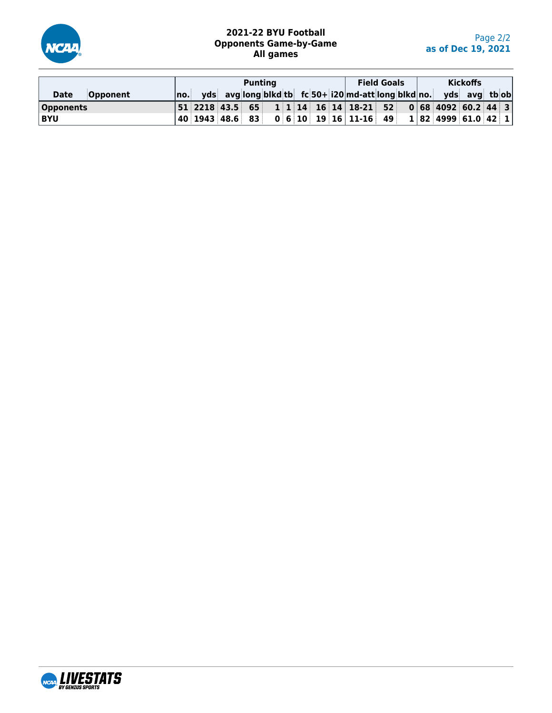

# **2021-22 BYU Football Opponents Game-by-Game All games**

|                         |        |  | <b>Punting</b> |  |  |                                                                    | <b>Field Goals</b> |  |                     | <b>Kickoffs</b> |  |
|-------------------------|--------|--|----------------|--|--|--------------------------------------------------------------------|--------------------|--|---------------------|-----------------|--|
| <b>Opponent</b><br>Date | ∣no. ⊟ |  |                |  |  | yds avg long blkd tb fc 50+ i20 md-att long blkd no. yds avg tb ob |                    |  |                     |                 |  |
| <b>Opponents</b>        |        |  |                |  |  |                                                                    |                    |  |                     |                 |  |
| <b>BYU</b>              |        |  |                |  |  |                                                                    |                    |  | 1 82 4999 61.0 42 1 |                 |  |

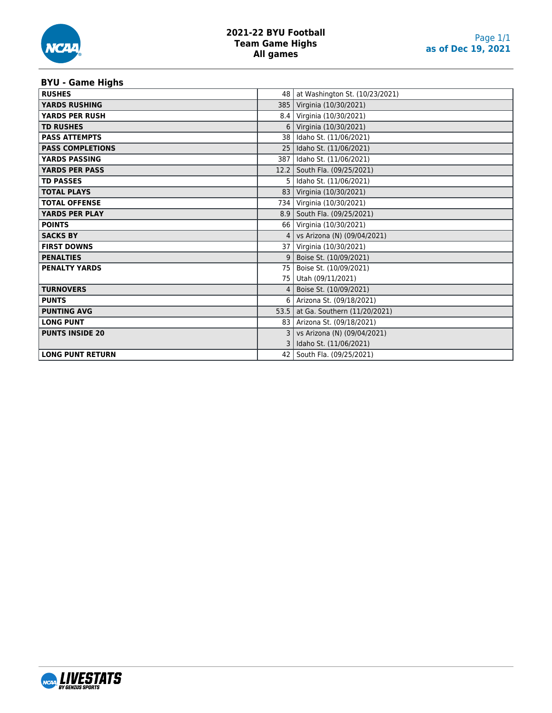# **BYU - Game Highs**

| <b>RUSHES</b>           | 48              | at Washington St. (10/23/2021) |
|-------------------------|-----------------|--------------------------------|
| <b>YARDS RUSHING</b>    | 385             | Virginia (10/30/2021)          |
| <b>YARDS PER RUSH</b>   | 8.4             | Virginia (10/30/2021)          |
| <b>TD RUSHES</b>        | 6               | Virginia (10/30/2021)          |
| <b>PASS ATTEMPTS</b>    | 38              | Idaho St. (11/06/2021)         |
| <b>PASS COMPLETIONS</b> | 25              | Idaho St. (11/06/2021)         |
| <b>YARDS PASSING</b>    | 387             | Idaho St. (11/06/2021)         |
| <b>YARDS PER PASS</b>   | 12.2            | South Fla. (09/25/2021)        |
| <b>TD PASSES</b>        | 5.              | Idaho St. (11/06/2021)         |
| <b>TOTAL PLAYS</b>      | 83              | Virginia (10/30/2021)          |
| <b>TOTAL OFFENSE</b>    | 734             | Virginia (10/30/2021)          |
| <b>YARDS PER PLAY</b>   | 8.9             | South Fla. (09/25/2021)        |
| <b>POINTS</b>           | 66              | Virginia (10/30/2021)          |
| <b>SACKS BY</b>         | 4               | vs Arizona (N) (09/04/2021)    |
| <b>FIRST DOWNS</b>      | 37 <sup>1</sup> | Virginia (10/30/2021)          |
| <b>PENALTIES</b>        | 9               | Boise St. (10/09/2021)         |
| <b>PENALTY YARDS</b>    | 75              | Boise St. (10/09/2021)         |
|                         | 75              | Utah (09/11/2021)              |
| <b>TURNOVERS</b>        |                 | Boise St. (10/09/2021)         |
| <b>PUNTS</b>            | 6               | Arizona St. (09/18/2021)       |
| <b>PUNTING AVG</b>      | 53.5            | at Ga. Southern (11/20/2021)   |
| <b>LONG PUNT</b>        | 83              | Arizona St. (09/18/2021)       |
| <b>PUNTS INSIDE 20</b>  |                 | vs Arizona (N) (09/04/2021)    |
|                         |                 | Idaho St. (11/06/2021)         |
| <b>LONG PUNT RETURN</b> | 42              | South Fla. (09/25/2021)        |

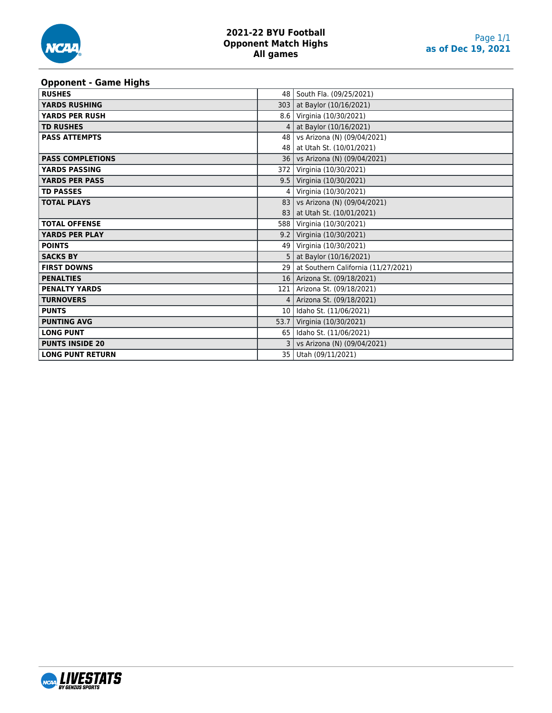

### **Opponent - Game Highs**

| .<br><b>RUSHES</b>      | 48              | South Fla. (09/25/2021)             |
|-------------------------|-----------------|-------------------------------------|
| <b>YARDS RUSHING</b>    | 303             | at Baylor (10/16/2021)              |
| <b>YARDS PER RUSH</b>   | 8.6             | Virginia (10/30/2021)               |
| <b>TD RUSHES</b>        | 4               | at Baylor (10/16/2021)              |
| <b>PASS ATTEMPTS</b>    | 48              | vs Arizona (N) (09/04/2021)         |
|                         | 48              | at Utah St. (10/01/2021)            |
| <b>PASS COMPLETIONS</b> | 36              | vs Arizona (N) (09/04/2021)         |
| <b>YARDS PASSING</b>    | 372             | Virginia (10/30/2021)               |
| <b>YARDS PER PASS</b>   |                 | 9.5   Virginia (10/30/2021)         |
| <b>TD PASSES</b>        | 4               | Virginia (10/30/2021)               |
| <b>TOTAL PLAYS</b>      | 83              | vs Arizona (N) (09/04/2021)         |
|                         | 83              | at Utah St. (10/01/2021)            |
| <b>TOTAL OFFENSE</b>    | 588             | Virginia (10/30/2021)               |
| <b>YARDS PER PLAY</b>   | 9.2             | Virginia (10/30/2021)               |
| <b>POINTS</b>           |                 | 49   Virginia (10/30/2021)          |
| <b>SACKS BY</b>         | 5.              | at Baylor (10/16/2021)              |
| <b>FIRST DOWNS</b>      | 29 l            | at Southern California (11/27/2021) |
| <b>PENALTIES</b>        | 16 <sup>1</sup> | Arizona St. (09/18/2021)            |
| <b>PENALTY YARDS</b>    | 121             | Arizona St. (09/18/2021)            |
| <b>TURNOVERS</b>        | 4               | Arizona St. (09/18/2021)            |
| <b>PUNTS</b>            | 10              | Idaho St. (11/06/2021)              |
| <b>PUNTING AVG</b>      | 53.7            | Virginia (10/30/2021)               |
| <b>LONG PUNT</b>        | 65              | Idaho St. (11/06/2021)              |
| <b>PUNTS INSIDE 20</b>  |                 | vs Arizona (N) (09/04/2021)         |
| <b>LONG PUNT RETURN</b> | 35              | Utah (09/11/2021)                   |

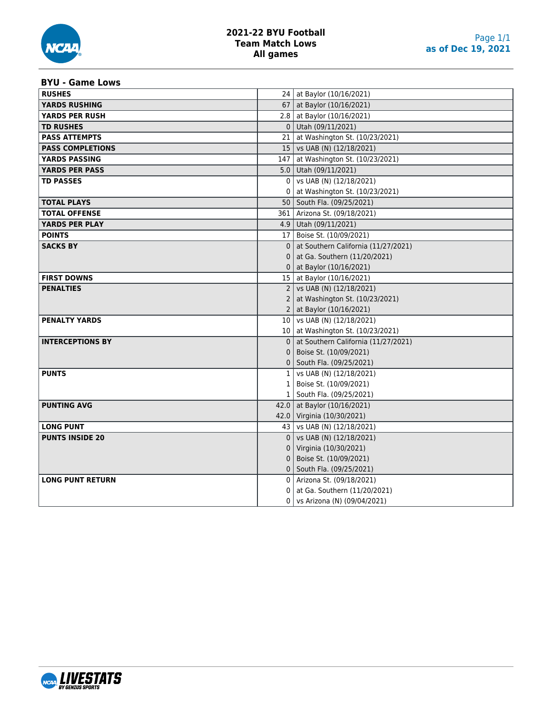

# **2021-22 BYU Football Team Match Lows All games**

### **BYU - Game Lows**

| <b>RUSHES</b>           |              | 24   at Baylor (10/16/2021)          |
|-------------------------|--------------|--------------------------------------|
| <b>YARDS RUSHING</b>    |              | 67   at Baylor (10/16/2021)          |
| <b>YARDS PER RUSH</b>   |              | 2.8   at Baylor $(10/16/2021)$       |
| <b>TD RUSHES</b>        |              | $0$ Utah (09/11/2021)                |
| <b>PASS ATTEMPTS</b>    |              | 21 at Washington St. (10/23/2021)    |
| <b>PASS COMPLETIONS</b> |              | 15   vs UAB (N) (12/18/2021)         |
| <b>YARDS PASSING</b>    |              | 147   at Washington St. (10/23/2021) |
| <b>YARDS PER PASS</b>   |              | 5.0 Utah (09/11/2021)                |
| <b>TD PASSES</b>        | 0            | vs UAB (N) (12/18/2021)              |
|                         |              | at Washington St. (10/23/2021)       |
| <b>TOTAL PLAYS</b>      |              | 50   South Fla. (09/25/2021)         |
| <b>TOTAL OFFENSE</b>    |              | 361   Arizona St. (09/18/2021)       |
| <b>YARDS PER PLAY</b>   |              | 4.9   Utah (09/11/2021)              |
| <b>POINTS</b>           |              | 17   Boise St. (10/09/2021)          |
| <b>SACKS BY</b>         | $\mathbf{0}$ | at Southern California (11/27/2021)  |
|                         | 0            | at Ga. Southern (11/20/2021)         |
|                         |              | 0   at Baylor $(10/16/2021)$         |
| <b>FIRST DOWNS</b>      |              | 15   at Baylor (10/16/2021)          |
| <b>PENALTIES</b>        |              | 2   vs UAB (N) $(12/18/2021)$        |
|                         | 2            | at Washington St. (10/23/2021)       |
|                         |              | 2   at Baylor (10/16/2021)           |
| <b>PENALTY YARDS</b>    |              | 10   vs UAB (N) (12/18/2021)         |
|                         |              | 10 at Washington St. (10/23/2021)    |
| <b>INTERCEPTIONS BY</b> | $\Omega$     | at Southern California (11/27/2021)  |
|                         | 0            | Boise St. (10/09/2021)               |
|                         |              | 0   South Fla. (09/25/2021)          |
| <b>PUNTS</b>            |              | $1$   vs UAB (N) (12/18/2021)        |
|                         |              | 1   Boise St. (10/09/2021)           |
|                         |              | 1   South Fla. (09/25/2021)          |
| <b>PUNTING AVG</b>      |              | 42.0 at Baylor (10/16/2021)          |
|                         |              | 42.0 Virginia (10/30/2021)           |
| <b>LONG PUNT</b>        |              | 43   vs UAB (N) (12/18/2021)         |
| <b>PUNTS INSIDE 20</b>  | $\Omega$     | vs UAB (N) (12/18/2021)              |
|                         | 0            | Virginia (10/30/2021)                |
|                         | 0            | Boise St. (10/09/2021)               |
|                         | 0            | South Fla. (09/25/2021)              |
| <b>LONG PUNT RETURN</b> |              | 0   Arizona St. (09/18/2021)         |
|                         | 0            | at Ga. Southern (11/20/2021)         |
|                         | 0            | vs Arizona (N) (09/04/2021)          |

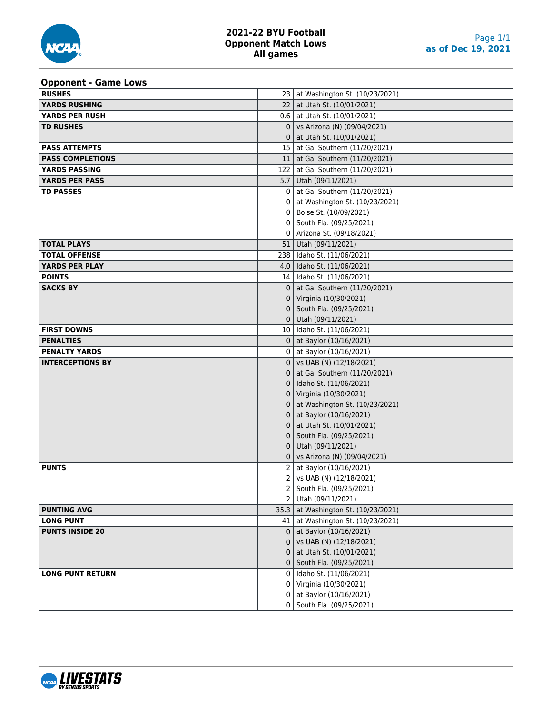### **Opponent - Game Lows**

| - 11 - - - - - -<br><b>RUSHES</b> |              | 23 at Washington St. (10/23/2021)   |
|-----------------------------------|--------------|-------------------------------------|
| <b>YARDS RUSHING</b>              |              | 22   at Utah St. (10/01/2021)       |
| YARDS PER RUSH                    |              | $0.6$   at Utah St. (10/01/2021)    |
| <b>TD RUSHES</b>                  | $\mathbf{0}$ | vs Arizona (N) (09/04/2021)         |
|                                   | 0            | at Utah St. (10/01/2021)            |
| <b>PASS ATTEMPTS</b>              |              | 15   at Ga. Southern (11/20/2021)   |
| <b>PASS COMPLETIONS</b>           |              | 11   at Ga. Southern (11/20/2021)   |
| <b>YARDS PASSING</b>              |              | 122   at Ga. Southern (11/20/2021)  |
| <b>YARDS PER PASS</b>             |              | 5.7   Utah (09/11/2021)             |
| <b>TD PASSES</b>                  | 0            | at Ga. Southern (11/20/2021)        |
|                                   |              | at Washington St. (10/23/2021)      |
|                                   |              | Boise St. (10/09/2021)              |
|                                   | 0            | South Fla. (09/25/2021)             |
|                                   |              | Arizona St. (09/18/2021)            |
| <b>TOTAL PLAYS</b>                |              | 51   Utah (09/11/2021)              |
| <b>TOTAL OFFENSE</b>              |              | 238   Idaho St. (11/06/2021)        |
| <b>YARDS PER PLAY</b>             |              | 4.0 daho St. (11/06/2021)           |
| <b>POINTS</b>                     |              | 14   Idaho St. (11/06/2021)         |
| <b>SACKS BY</b>                   | $\Omega$     | at Ga. Southern (11/20/2021)        |
|                                   | 0            | Virginia (10/30/2021)               |
|                                   | 0            | South Fla. (09/25/2021)             |
|                                   |              | $0$ Utah (09/11/2021)               |
| <b>FIRST DOWNS</b>                |              | 10   Idaho St. (11/06/2021)         |
| <b>PENALTIES</b>                  |              | 0   at Baylor $(10/16/2021)$        |
| <b>PENALTY YARDS</b>              |              | 0   at Baylor (10/16/2021)          |
| <b>INTERCEPTIONS BY</b>           |              | $0$   vs UAB (N) (12/18/2021)       |
|                                   | 0            | at Ga. Southern (11/20/2021)        |
|                                   | 0            | Idaho St. (11/06/2021)              |
|                                   | 0            | Virginia (10/30/2021)               |
|                                   |              | at Washington St. (10/23/2021)      |
|                                   |              | at Baylor (10/16/2021)              |
|                                   |              | at Utah St. (10/01/2021)            |
|                                   | 0            | South Fla. (09/25/2021)             |
|                                   | 0            | Utah (09/11/2021)                   |
|                                   | 0            | vs Arizona (N) (09/04/2021)         |
| <b>PUNTS</b>                      | 2            | at Baylor (10/16/2021)              |
|                                   | 2            | vs UAB (N) (12/18/2021)             |
|                                   | 2            | South Fla. (09/25/2021)             |
|                                   |              | 2 Utah (09/11/2021)                 |
| <b>PUNTING AVG</b>                | 35.3         | at Washington St. (10/23/2021)      |
| <b>LONG PUNT</b>                  |              | 41   at Washington St. (10/23/2021) |
| <b>PUNTS INSIDE 20</b>            | $\Omega$     | at Baylor (10/16/2021)              |
|                                   |              | vs UAB (N) (12/18/2021)             |
|                                   |              | at Utah St. (10/01/2021)            |
|                                   |              | South Fla. (09/25/2021)             |
| <b>LONG PUNT RETURN</b>           | 0            | Idaho St. (11/06/2021)              |
|                                   | 0            | Virginia (10/30/2021)               |
|                                   | 0            | at Baylor (10/16/2021)              |
|                                   |              | 0   South Fla. (09/25/2021)         |

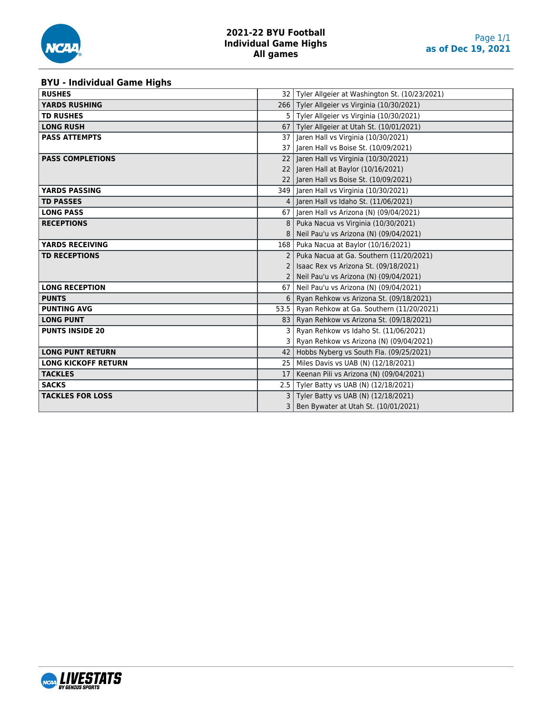

### **BYU - Individual Game Highs**

| <b>RUSHES</b>              |                 | 32   Tyler Allgeier at Washington St. (10/23/2021) |
|----------------------------|-----------------|----------------------------------------------------|
| <b>YARDS RUSHING</b>       |                 | 266   Tyler Allgeier vs Virginia (10/30/2021)      |
| <b>TD RUSHES</b>           | 5               | Tyler Allgeier vs Virginia (10/30/2021)            |
| <b>LONG RUSH</b>           |                 | 67   Tyler Allgeier at Utah St. (10/01/2021)       |
| <b>PASS ATTEMPTS</b>       | 37              | Jaren Hall vs Virginia (10/30/2021)                |
|                            |                 | 37   Jaren Hall vs Boise St. (10/09/2021)          |
| <b>PASS COMPLETIONS</b>    | 22              | Jaren Hall vs Virginia (10/30/2021)                |
|                            | 22              | Jaren Hall at Baylor (10/16/2021)                  |
|                            |                 | 22 Jaren Hall vs Boise St. (10/09/2021)            |
| <b>YARDS PASSING</b>       |                 | 349   Jaren Hall vs Virginia (10/30/2021)          |
| <b>TD PASSES</b>           | 4               | Jaren Hall vs Idaho St. (11/06/2021)               |
| <b>LONG PASS</b>           | 67              | Jaren Hall vs Arizona (N) (09/04/2021)             |
| <b>RECEPTIONS</b>          | 8               | Puka Nacua vs Virginia (10/30/2021)                |
|                            |                 | Neil Pau'u vs Arizona (N) (09/04/2021)             |
| <b>YARDS RECEIVING</b>     | 168             | Puka Nacua at Baylor (10/16/2021)                  |
| <b>TD RECEPTIONS</b>       | $\mathcal{P}$   | Puka Nacua at Ga. Southern (11/20/2021)            |
|                            |                 | Isaac Rex vs Arizona St. (09/18/2021)              |
|                            |                 | Neil Pau'u vs Arizona (N) (09/04/2021)             |
| <b>LONG RECEPTION</b>      | 67              | Neil Pau'u vs Arizona (N) (09/04/2021)             |
| <b>PUNTS</b>               | 6               | Ryan Rehkow vs Arizona St. (09/18/2021)            |
| <b>PUNTING AVG</b>         | 53.5            | Ryan Rehkow at Ga. Southern (11/20/2021)           |
| <b>LONG PUNT</b>           | 83 l            | Ryan Rehkow vs Arizona St. (09/18/2021)            |
| <b>PUNTS INSIDE 20</b>     | 3               | Ryan Rehkow vs Idaho St. (11/06/2021)              |
|                            | 3               | Ryan Rehkow vs Arizona (N) (09/04/2021)            |
| <b>LONG PUNT RETURN</b>    | 42              | Hobbs Nyberg vs South Fla. (09/25/2021)            |
| <b>LONG KICKOFF RETURN</b> | 25 <sub>1</sub> | Miles Davis vs UAB (N) (12/18/2021)                |
| <b>TACKLES</b>             | 17              | Keenan Pili vs Arizona (N) (09/04/2021)            |
| <b>SACKS</b>               |                 | 2.5   Tyler Batty vs UAB (N) (12/18/2021)          |
| <b>TACKLES FOR LOSS</b>    | 3               | Tyler Batty vs UAB (N) (12/18/2021)                |
|                            | 3               | Ben Bywater at Utah St. (10/01/2021)               |